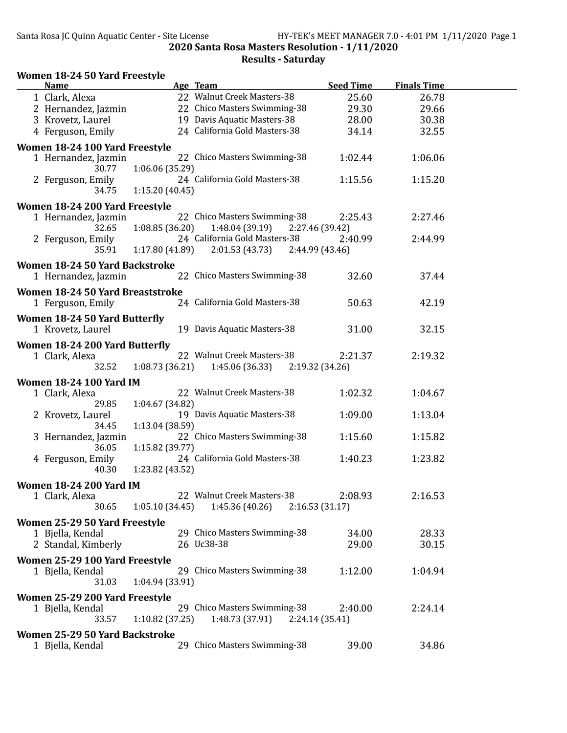| Women 18-24 50 Yard Freestyle    |                                   |                  |                    |  |
|----------------------------------|-----------------------------------|------------------|--------------------|--|
| <b>Name</b>                      | Age Team                          | <b>Seed Time</b> | <b>Finals Time</b> |  |
| 1 Clark, Alexa                   | 22 Walnut Creek Masters-38        | 25.60            | 26.78              |  |
| 2 Hernandez, Jazmin              | 22 Chico Masters Swimming-38      | 29.30            | 29.66              |  |
| 3 Krovetz, Laurel                | 19 Davis Aquatic Masters-38       | 28.00            | 30.38              |  |
| 4 Ferguson, Emily                | 24 California Gold Masters-38     | 34.14            | 32.55              |  |
| Women 18-24 100 Yard Freestyle   |                                   |                  |                    |  |
| 1 Hernandez, Jazmin              | 22 Chico Masters Swimming-38      | 1:02.44          | 1:06.06            |  |
| 1:06.06 (35.29)<br>30.77         |                                   |                  |                    |  |
| 2 Ferguson, Emily                | 24 California Gold Masters-38     | 1:15.56          | 1:15.20            |  |
| 34.75<br>1:15.20(40.45)          |                                   |                  |                    |  |
| Women 18-24 200 Yard Freestyle   |                                   |                  |                    |  |
| 1 Hernandez, Jazmin              | 22 Chico Masters Swimming-38      | 2:25.43          | 2:27.46            |  |
| 1:08.85(36.20)<br>32.65          | 1:48.04(39.19)                    | 2:27.46 (39.42)  |                    |  |
| 2 Ferguson, Emily                | 24 California Gold Masters-38     | 2:40.99          | 2:44.99            |  |
| 1:17.80(41.89)<br>35.91          | 2:01.53(43.73)                    | 2:44.99 (43.46)  |                    |  |
| Women 18-24 50 Yard Backstroke   |                                   |                  |                    |  |
| 1 Hernandez, Jazmin              | 22 Chico Masters Swimming-38      | 32.60            | 37.44              |  |
| Women 18-24 50 Yard Breaststroke |                                   |                  |                    |  |
|                                  | 24 California Gold Masters-38     | 50.63            | 42.19              |  |
| 1 Ferguson, Emily                |                                   |                  |                    |  |
| Women 18-24 50 Yard Butterfly    |                                   |                  |                    |  |
| 1 Krovetz, Laurel                | 19 Davis Aquatic Masters-38       | 31.00            | 32.15              |  |
| Women 18-24 200 Yard Butterfly   |                                   |                  |                    |  |
| 1 Clark, Alexa                   | 22 Walnut Creek Masters-38        | 2:21.37          | 2:19.32            |  |
| 32.52<br>1:08.73(36.21)          | 1:45.06 (36.33)                   | 2:19.32 (34.26)  |                    |  |
| <b>Women 18-24 100 Yard IM</b>   |                                   |                  |                    |  |
| 1 Clark, Alexa                   | 22 Walnut Creek Masters-38        | 1:02.32          | 1:04.67            |  |
| 29.85<br>1:04.67 (34.82)         |                                   |                  |                    |  |
| 2 Krovetz, Laurel                | 19 Davis Aquatic Masters-38       | 1:09.00          | 1:13.04            |  |
| 1:13.04 (38.59)<br>34.45         |                                   |                  |                    |  |
| 3 Hernandez, Jazmin              | 22 Chico Masters Swimming-38      | 1:15.60          | 1:15.82            |  |
| 36.05<br>1:15.82 (39.77)         |                                   |                  |                    |  |
| 4 Ferguson, Emily                | 24 California Gold Masters-38     | 1:40.23          | 1:23.82            |  |
| 1:23.82 (43.52)<br>40.30         |                                   |                  |                    |  |
| <b>Women 18-24 200 Yard IM</b>   |                                   |                  |                    |  |
| 1 Clark, Alexa                   | 22 Walnut Creek Masters-38        | 2:08.93          | 2:16.53            |  |
| 30.65<br>1:05.10(34.45)          | 1:45.36(40.26)                    | 2:16.53(31.17)   |                    |  |
| Women 25-29 50 Yard Freestyle    |                                   |                  |                    |  |
| 1 Bjella, Kendal                 | 29 Chico Masters Swimming-38      | 34.00            | 28.33              |  |
| 2 Standal, Kimberly              | 26 Uc38-38                        | 29.00            | 30.15              |  |
|                                  |                                   |                  |                    |  |
| Women 25-29 100 Yard Freestyle   |                                   |                  |                    |  |
| 1 Bjella, Kendal                 | 29 Chico Masters Swimming-38      | 1:12.00          | 1:04.94            |  |
| 1:04.94 (33.91)<br>31.03         |                                   |                  |                    |  |
| Women 25-29 200 Yard Freestyle   |                                   |                  |                    |  |
| 1 Bjella, Kendal                 | 29 Chico Masters Swimming-38      | 2:40.00          | 2:24.14            |  |
| 1:10.82(37.25)<br>33.57          | $1:48.73(37.91)$ $2:24.14(35.41)$ |                  |                    |  |
| Women 25-29 50 Yard Backstroke   |                                   |                  |                    |  |
| 1 Bjella, Kendal                 | 29 Chico Masters Swimming-38      | 39.00            | 34.86              |  |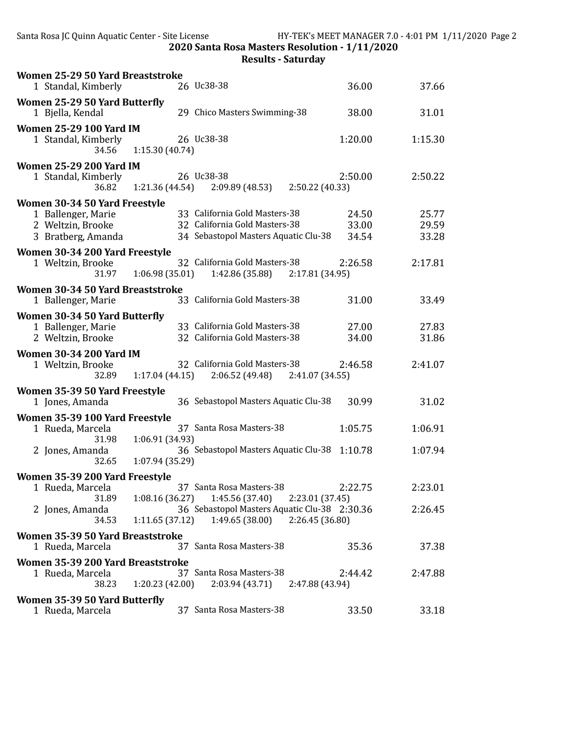| Women 25-29 50 Yard Breaststroke                                                               |                                                                                                        |                         |                         |
|------------------------------------------------------------------------------------------------|--------------------------------------------------------------------------------------------------------|-------------------------|-------------------------|
| 1 Standal, Kimberly                                                                            | 26 Uc38-38                                                                                             | 36.00                   | 37.66                   |
| Women 25-29 50 Yard Butterfly<br>1 Bjella, Kendal                                              | 29 Chico Masters Swimming-38                                                                           | 38.00                   | 31.01                   |
| <b>Women 25-29 100 Yard IM</b><br>1 Standal, Kimberly<br>34.56                                 | 26 Uc38-38<br>1:15.30 (40.74)                                                                          | 1:20.00                 | 1:15.30                 |
| <b>Women 25-29 200 Yard IM</b><br>1 Standal, Kimberly<br>36.82                                 | 26 Uc38-38<br>1:21.36(44.54)<br>2:09.89 (48.53)<br>2:50.22 (40.33)                                     | 2:50.00                 | 2:50.22                 |
| Women 30-34 50 Yard Freestyle<br>1 Ballenger, Marie<br>2 Weltzin, Brooke<br>3 Bratberg, Amanda | 33 California Gold Masters-38<br>32 California Gold Masters-38<br>34 Sebastopol Masters Aquatic Clu-38 | 24.50<br>33.00<br>34.54 | 25.77<br>29.59<br>33.28 |
| Women 30-34 200 Yard Freestyle<br>1 Weltzin, Brooke<br>31.97                                   | 32 California Gold Masters-38<br>1:06.98(35.01)<br>1:42.86 (35.88)<br>2:17.81 (34.95)                  | 2:26.58                 | 2:17.81                 |
| Women 30-34 50 Yard Breaststroke<br>1 Ballenger, Marie                                         | 33 California Gold Masters-38                                                                          | 31.00                   | 33.49                   |
| Women 30-34 50 Yard Butterfly<br>1 Ballenger, Marie<br>2 Weltzin, Brooke                       | 33 California Gold Masters-38<br>32 California Gold Masters-38                                         | 27.00<br>34.00          | 27.83<br>31.86          |
| <b>Women 30-34 200 Yard IM</b><br>1 Weltzin, Brooke<br>32.89                                   | 32 California Gold Masters-38<br>1:17.04(44.15)<br>2:06.52 (49.48)<br>2:41.07 (34.55)                  | 2:46.58                 | 2:41.07                 |
| Women 35-39 50 Yard Freestyle<br>1 Jones, Amanda                                               | 36 Sebastopol Masters Aquatic Clu-38                                                                   | 30.99                   | 31.02                   |
| Women 35-39 100 Yard Freestyle<br>1 Rueda, Marcela<br>31.98                                    | 37 Santa Rosa Masters-38<br>1:06.91 (34.93)                                                            | 1:05.75                 | 1:06.91                 |
| 2 Jones, Amanda<br>32.65                                                                       | 36 Sebastopol Masters Aquatic Clu-38<br>1:07.94 (35.29)                                                | 1:10.78                 | 1:07.94                 |
| Women 35-39 200 Yard Freestyle                                                                 |                                                                                                        |                         |                         |
| 1 Rueda, Marcela<br>31.89                                                                      | 37 Santa Rosa Masters-38<br>1:08.16(36.27)<br>1:45.56 (37.40)<br>2:23.01 (37.45)                       | 2:22.75                 | 2:23.01                 |
| 2 Jones, Amanda<br>34.53                                                                       | 36 Sebastopol Masters Aquatic Clu-38 2:30.36<br>1:49.65 (38.00)<br>1:11.65(37.12)<br>2:26.45 (36.80)   |                         | 2:26.45                 |
| Women 35-39 50 Yard Breaststroke<br>1 Rueda, Marcela                                           | 37 Santa Rosa Masters-38                                                                               | 35.36                   | 37.38                   |
| Women 35-39 200 Yard Breaststroke<br>1 Rueda, Marcela<br>38.23                                 | 37 Santa Rosa Masters-38<br>1:20.23(42.00)<br>2:03.94(43.71)<br>2:47.88 (43.94)                        | 2:44.42                 | 2:47.88                 |
| Women 35-39 50 Yard Butterfly<br>1 Rueda, Marcela                                              | 37 Santa Rosa Masters-38                                                                               | 33.50                   | 33.18                   |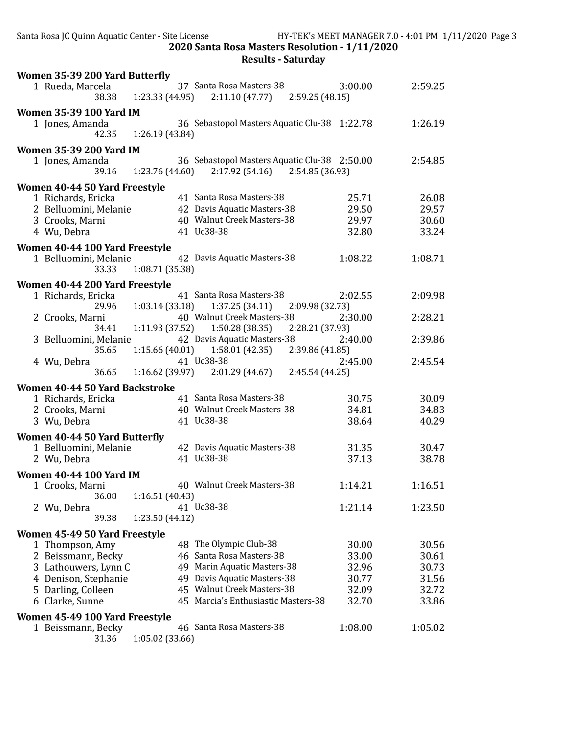| Women 35-39 200 Yard Butterfly |                       |                                                                                     |         |         |
|--------------------------------|-----------------------|-------------------------------------------------------------------------------------|---------|---------|
| 1 Rueda, Marcela<br>38.38      |                       | 37 Santa Rosa Masters-38<br>$1:23.33(44.95)$ $2:11.10(47.77)$ $2:59.25(48.15)$      | 3:00.00 | 2:59.25 |
| <b>Women 35-39 100 Yard IM</b> |                       |                                                                                     |         |         |
| 1 Jones, Amanda<br>42.35       | 1:26.19 (43.84)       | 36 Sebastopol Masters Aquatic Clu-38 1:22.78                                        |         | 1:26.19 |
| <b>Women 35-39 200 Yard IM</b> |                       |                                                                                     |         |         |
| 1 Jones, Amanda                | 39.16 1:23.76 (44.60) | 36 Sebastopol Masters Aquatic Clu-38 2:50.00<br>$2:17.92(54.16)$ $2:54.85(36.93)$   |         | 2:54.85 |
| Women 40-44 50 Yard Freestyle  |                       |                                                                                     |         |         |
| 1 Richards, Ericka             |                       | 41 Santa Rosa Masters-38                                                            | 25.71   | 26.08   |
| 2 Belluomini, Melanie          |                       | 42 Davis Aquatic Masters-38                                                         | 29.50   | 29.57   |
| 3 Crooks, Marni                |                       | 40 Walnut Creek Masters-38                                                          | 29.97   | 30.60   |
| 4 Wu, Debra                    |                       | 41 Uc38-38                                                                          | 32.80   | 33.24   |
| Women 40-44 100 Yard Freestyle |                       |                                                                                     |         |         |
| 1 Belluomini, Melanie<br>33.33 | 1:08.71 (35.38)       | 42 Davis Aquatic Masters-38                                                         | 1:08.22 | 1:08.71 |
| Women 40-44 200 Yard Freestyle |                       |                                                                                     |         |         |
| 1 Richards, Ericka<br>29.96    |                       | 41 Santa Rosa Masters-38<br>$1:03.14(33.18)$ $1:37.25(34.11)$<br>2:09.98 (32.73)    | 2:02.55 | 2:09.98 |
| 2 Crooks, Marni<br>34.41       |                       | 40 Walnut Creek Masters-38<br>$1:11.93(37.52)$ $1:50.28(38.35)$<br>2:28.21 (37.93)  | 2:30.00 | 2:28.21 |
| 3 Belluomini, Melanie<br>35.65 |                       | 42 Davis Aquatic Masters-38<br>$1:15.66(40.01)$ $1:58.01(42.35)$<br>2:39.86 (41.85) | 2:40.00 | 2:39.86 |
| 4 Wu, Debra<br>36.65           |                       | 41 Uc38-38<br>$1:16.62$ (39.97) $2:01.29$ (44.67)<br>2:45.54 (44.25)                | 2:45.00 | 2:45.54 |
| Women 40-44 50 Yard Backstroke |                       |                                                                                     |         |         |
| 1 Richards, Ericka             |                       | 41 Santa Rosa Masters-38                                                            | 30.75   | 30.09   |
| 2 Crooks, Marni                |                       | 40 Walnut Creek Masters-38                                                          | 34.81   | 34.83   |
| 3 Wu, Debra                    |                       | 41 Uc38-38                                                                          | 38.64   | 40.29   |
| Women 40-44 50 Yard Butterfly  |                       |                                                                                     |         |         |
| 1 Belluomini, Melanie          |                       | 42 Davis Aquatic Masters-38                                                         | 31.35   | 30.47   |
| 2 Wu, Debra                    |                       | 41 Uc38-38                                                                          | 37.13   | 38.78   |
|                                |                       |                                                                                     |         |         |
| <b>Women 40-44 100 Yard IM</b> |                       |                                                                                     |         |         |
| 1 Crooks, Marni                |                       | 40 Walnut Creek Masters-38                                                          | 1:14.21 | 1:16.51 |
| 36.08                          | 1:16.51(40.43)        | 41 Uc38-38                                                                          |         |         |
| 2 Wu, Debra<br>39.38           | 1:23.50 (44.12)       |                                                                                     | 1:21.14 | 1:23.50 |
|                                |                       |                                                                                     |         |         |
| Women 45-49 50 Yard Freestyle  |                       |                                                                                     |         |         |
| 1 Thompson, Amy                |                       | 48 The Olympic Club-38                                                              | 30.00   | 30.56   |
| 2 Beissmann, Becky             |                       | 46 Santa Rosa Masters-38                                                            | 33.00   | 30.61   |
| 3 Lathouwers, Lynn C           |                       | 49 Marin Aquatic Masters-38                                                         | 32.96   | 30.73   |
| 4 Denison, Stephanie           |                       | 49 Davis Aquatic Masters-38<br>45 Walnut Creek Masters-38                           | 30.77   | 31.56   |
| 5 Darling, Colleen             |                       |                                                                                     | 32.09   | 32.72   |
| 6 Clarke, Sunne                |                       | 45 Marcia's Enthusiastic Masters-38                                                 | 32.70   | 33.86   |
| Women 45-49 100 Yard Freestyle |                       |                                                                                     |         |         |
| 1 Beissmann, Becky             |                       | 46 Santa Rosa Masters-38                                                            | 1:08.00 | 1:05.02 |
| 31.36                          | 1:05.02 (33.66)       |                                                                                     |         |         |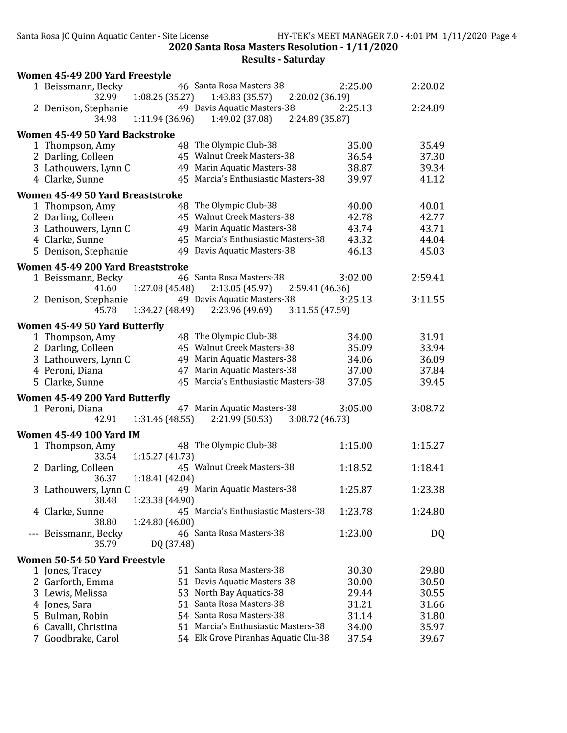|     | Women 45-49 200 Yard Freestyle                    |                 |                                                                   |         |         |
|-----|---------------------------------------------------|-----------------|-------------------------------------------------------------------|---------|---------|
|     | 1 Beissmann, Becky<br>32.99                       | 1:08.26 (35.27) | 46 Santa Rosa Masters-38<br>1:43.83 (35.57)<br>2:20.02 (36.19)    | 2:25.00 | 2:20.02 |
|     | 2 Denison, Stephanie<br>34.98                     | 1:11.94 (36.96) | 49 Davis Aquatic Masters-38<br>1:49.02 (37.08)<br>2:24.89 (35.87) | 2:25.13 | 2:24.89 |
|     |                                                   |                 |                                                                   |         |         |
|     | Women 45-49 50 Yard Backstroke<br>1 Thompson, Amy |                 | 48 The Olympic Club-38                                            | 35.00   | 35.49   |
|     | 2 Darling, Colleen                                |                 | 45 Walnut Creek Masters-38                                        | 36.54   | 37.30   |
|     | 3 Lathouwers, Lynn C                              |                 | 49 Marin Aquatic Masters-38                                       | 38.87   | 39.34   |
|     | 4 Clarke, Sunne                                   |                 | 45 Marcia's Enthusiastic Masters-38                               | 39.97   | 41.12   |
|     |                                                   |                 |                                                                   |         |         |
|     | Women 45-49 50 Yard Breaststroke                  |                 | 48 The Olympic Club-38                                            | 40.00   | 40.01   |
|     | 1 Thompson, Amy<br>2 Darling, Colleen             |                 | 45 Walnut Creek Masters-38                                        | 42.78   | 42.77   |
|     | 3 Lathouwers, Lynn C                              |                 | 49 Marin Aquatic Masters-38                                       | 43.74   | 43.71   |
|     | 4 Clarke, Sunne                                   |                 | 45 Marcia's Enthusiastic Masters-38                               | 43.32   | 44.04   |
|     | 5 Denison, Stephanie                              |                 | 49 Davis Aquatic Masters-38                                       | 46.13   | 45.03   |
|     |                                                   |                 |                                                                   |         |         |
|     | Women 45-49 200 Yard Breaststroke                 |                 |                                                                   |         |         |
|     | 1 Beissmann, Becky                                |                 | 46 Santa Rosa Masters-38                                          | 3:02.00 | 2:59.41 |
|     | 41.60                                             | 1:27.08 (45.48) | 2:13.05 (45.97)<br>2:59.41 (46.36)<br>49 Davis Aquatic Masters-38 |         | 3:11.55 |
|     | 2 Denison, Stephanie<br>45.78                     | 1:34.27 (48.49) | 2:23.96 (49.69)<br>3:11.55 (47.59)                                | 3:25.13 |         |
|     |                                                   |                 |                                                                   |         |         |
|     | Women 45-49 50 Yard Butterfly                     |                 |                                                                   |         |         |
|     | 1 Thompson, Amy                                   |                 | 48 The Olympic Club-38                                            | 34.00   | 31.91   |
|     | 2 Darling, Colleen                                |                 | 45 Walnut Creek Masters-38                                        | 35.09   | 33.94   |
|     | 3 Lathouwers, Lynn C                              |                 | 49 Marin Aquatic Masters-38                                       | 34.06   | 36.09   |
|     | 4 Peroni, Diana                                   |                 | 47 Marin Aquatic Masters-38                                       | 37.00   | 37.84   |
|     | 5 Clarke, Sunne                                   |                 | 45 Marcia's Enthusiastic Masters-38                               | 37.05   | 39.45   |
|     | Women 45-49 200 Yard Butterfly                    |                 |                                                                   |         |         |
|     | 1 Peroni, Diana                                   |                 | 47 Marin Aquatic Masters-38                                       | 3:05.00 | 3:08.72 |
|     | 42.91                                             | 1:31.46 (48.55) | 2:21.99 (50.53)<br>3:08.72 (46.73)                                |         |         |
|     | <b>Women 45-49 100 Yard IM</b>                    |                 |                                                                   |         |         |
|     | 1 Thompson, Amy                                   |                 | 48 The Olympic Club-38                                            | 1:15.00 | 1:15.27 |
|     | 33.54                                             | 1:15.27(41.73)  |                                                                   |         |         |
|     | 2 Darling, Colleen                                |                 | 45 Walnut Creek Masters-38                                        | 1:18.52 | 1:18.41 |
| 3   | 36.37                                             | 1:18.41 (42.04) | 49 Marin Aquatic Masters-38                                       | 1:25.87 | 1:23.38 |
|     | Lathouwers, Lynn C<br>38.48                       | 1:23.38 (44.90) |                                                                   |         |         |
|     | 4 Clarke, Sunne                                   |                 | 45 Marcia's Enthusiastic Masters-38                               | 1:23.78 | 1:24.80 |
|     | 38.80                                             | 1:24.80 (46.00) |                                                                   |         |         |
| --- | Beissmann, Becky                                  |                 | 46 Santa Rosa Masters-38                                          | 1:23.00 | DQ      |
|     | 35.79                                             | DQ (37.48)      |                                                                   |         |         |
|     | Women 50-54 50 Yard Freestyle                     |                 |                                                                   |         |         |
|     | 1 Jones, Tracey                                   |                 | 51 Santa Rosa Masters-38                                          | 30.30   | 29.80   |
|     | 2 Garforth, Emma                                  |                 | 51 Davis Aquatic Masters-38                                       | 30.00   | 30.50   |
|     | 3 Lewis, Melissa                                  | 53              | North Bay Aquatics-38                                             | 29.44   | 30.55   |
| 4   | Jones, Sara                                       | 51              | Santa Rosa Masters-38                                             | 31.21   | 31.66   |
| 5.  | Bulman, Robin                                     |                 | 54 Santa Rosa Masters-38                                          | 31.14   | 31.80   |
| 6   | Cavalli, Christina                                |                 | 51 Marcia's Enthusiastic Masters-38                               | 34.00   | 35.97   |
| 7   | Goodbrake, Carol                                  |                 | 54 Elk Grove Piranhas Aquatic Clu-38                              | 37.54   | 39.67   |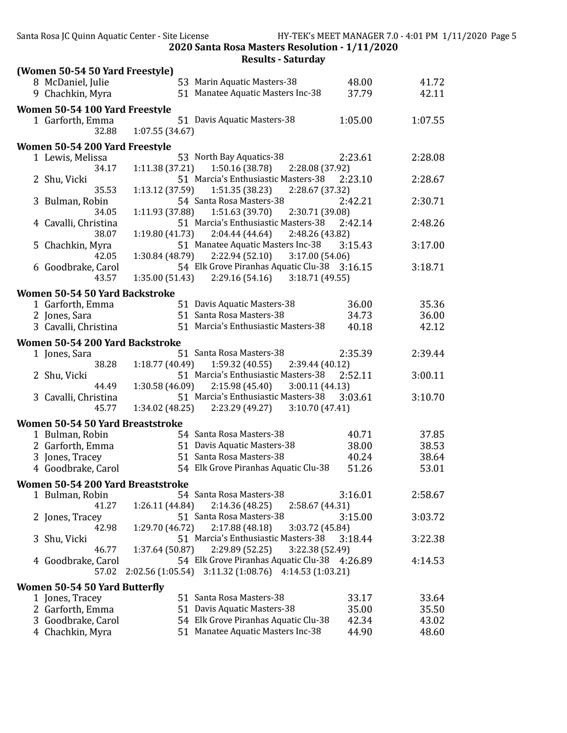| 8 McDaniel, Julie<br>53 Marin Aquatic Masters-38<br>48.00<br>41.72<br>51 Manatee Aquatic Masters Inc-38<br>42.11<br>9 Chachkin, Myra<br>37.79<br>Women 50-54 100 Yard Freestyle<br>51 Davis Aquatic Masters-38<br>1:05.00<br>1:07.55<br>1 Garforth, Emma<br>1:07.55(34.67)<br>32.88<br>Women 50-54 200 Yard Freestyle<br>53 North Bay Aquatics-38<br>2:23.61<br>2:28.08<br>1 Lewis, Melissa<br>1:11.38(37.21)<br>1:50.16 (38.78)<br>34.17<br>2:28.08 (37.92)<br>51 Marcia's Enthusiastic Masters-38<br>2:23.10<br>2:28.67<br>2 Shu, Vicki<br>35.53<br>1:51.35 (38.23)<br>2:28.67 (37.32)<br>1:13.12 (37.59)<br>54 Santa Rosa Masters-38<br>2:42.21<br>2:30.71<br>3 Bulman, Robin<br>2:30.71 (39.08)<br>34.05<br>1:11.93(37.88)<br>1:51.63 (39.70)<br>51 Marcia's Enthusiastic Masters-38<br>2:42.14<br>2:48.26<br>4 Cavalli, Christina<br>2:04.44(44.64)<br>38.07<br>1:19.80 (41.73)<br>2:48.26 (43.82)<br>51 Manatee Aquatic Masters Inc-38<br>3:15.43<br>3:17.00<br>5 Chachkin, Myra<br>1:30.84 (48.79)<br>2:22.94(52.10)<br>3:17.00 (54.06)<br>42.05<br>54 Elk Grove Piranhas Aquatic Clu-38 3:16.15<br>3:18.71<br>6 Goodbrake, Carol<br>1:35.00(51.43)<br>2:29.16 (54.16)<br>3:18.71(49.55)<br>43.57<br>Women 50-54 50 Yard Backstroke<br>35.36<br>1 Garforth, Emma<br>51 Davis Aquatic Masters-38<br>36.00<br>51 Santa Rosa Masters-38<br>34.73<br>2 Jones, Sara<br>36.00<br>51 Marcia's Enthusiastic Masters-38<br>3 Cavalli, Christina<br>42.12<br>40.18<br>Women 50-54 200 Yard Backstroke<br>51 Santa Rosa Masters-38<br>2:35.39<br>2:39.44<br>1 Jones, Sara<br>1:18.77 (40.49)<br>1:59.32 (40.55)<br>38.28<br>2:39.44(40.12)<br>51 Marcia's Enthusiastic Masters-38<br>2:52.11<br>3:00.11<br>2 Shu, Vicki<br>1:30.58 (46.09)<br>2:15.98 (45.40)<br>3:00.11(44.13)<br>44.49<br>51 Marcia's Enthusiastic Masters-38<br>3:03.61<br>3:10.70<br>3 Cavalli, Christina<br>3:10.70 (47.41)<br>45.77<br>1:34.02 (48.25)<br>2:23.29 (49.27)<br>Women 50-54 50 Yard Breaststroke<br>54 Santa Rosa Masters-38<br>40.71<br>37.85<br>1 Bulman, Robin<br>51 Davis Aquatic Masters-38<br>38.00<br>38.53<br>2 Garforth, Emma<br>51 Santa Rosa Masters-38<br>38.64<br>3 Jones, Tracey<br>40.24<br>54 Elk Grove Piranhas Aquatic Clu-38<br>51.26<br>53.01<br>4 Goodbrake, Carol<br>Women 50-54 200 Yard Breaststroke<br>54 Santa Rosa Masters-38<br>3:16.01<br>1 Bulman, Robin<br>2:58.67<br>41.27<br>2:14.36 (48.25)<br>1:26.11(44.84)<br>2:58.67 (44.31)<br>51 Santa Rosa Masters-38<br>3:15.00<br>3:03.72<br>2 Jones, Tracey<br>2:17.88(48.18)<br>3:03.72 (45.84)<br>42.98<br>1:29.70 (46.72)<br>51 Marcia's Enthusiastic Masters-38<br>3:18.44<br>3:22.38<br>Shu, Vicki<br>3<br>1:37.64 (50.87)<br>2:29.89 (52.25)<br>46.77<br>3:22.38 (52.49)<br>54 Elk Grove Piranhas Aquatic Clu-38 4:26.89<br>4 Goodbrake, Carol<br>4:14.53<br>2:02.56 (1:05.54) 3:11.32 (1:08.76) 4:14.53 (1:03.21)<br>57.02<br>Women 50-54 50 Yard Butterfly<br>51 Santa Rosa Masters-38<br>33.64<br>1 Jones, Tracey<br>33.17<br>51 Davis Aquatic Masters-38<br>2 Garforth, Emma<br>35.00<br>35.50<br>54 Elk Grove Piranhas Aquatic Clu-38<br>3 Goodbrake, Carol<br>42.34<br>43.02 | (Women 50-54 50 Yard Freestyle) |                                   |       |       |
|-----------------------------------------------------------------------------------------------------------------------------------------------------------------------------------------------------------------------------------------------------------------------------------------------------------------------------------------------------------------------------------------------------------------------------------------------------------------------------------------------------------------------------------------------------------------------------------------------------------------------------------------------------------------------------------------------------------------------------------------------------------------------------------------------------------------------------------------------------------------------------------------------------------------------------------------------------------------------------------------------------------------------------------------------------------------------------------------------------------------------------------------------------------------------------------------------------------------------------------------------------------------------------------------------------------------------------------------------------------------------------------------------------------------------------------------------------------------------------------------------------------------------------------------------------------------------------------------------------------------------------------------------------------------------------------------------------------------------------------------------------------------------------------------------------------------------------------------------------------------------------------------------------------------------------------------------------------------------------------------------------------------------------------------------------------------------------------------------------------------------------------------------------------------------------------------------------------------------------------------------------------------------------------------------------------------------------------------------------------------------------------------------------------------------------------------------------------------------------------------------------------------------------------------------------------------------------------------------------------------------------------------------------------------------------------------------------------------------------------------------------------------------------------------------------------------------------------------------------------------------------------------------------------------------------------------------------------------------------------------------------------------------------------------------------------------------------------------------------------------------------------------------------|---------------------------------|-----------------------------------|-------|-------|
|                                                                                                                                                                                                                                                                                                                                                                                                                                                                                                                                                                                                                                                                                                                                                                                                                                                                                                                                                                                                                                                                                                                                                                                                                                                                                                                                                                                                                                                                                                                                                                                                                                                                                                                                                                                                                                                                                                                                                                                                                                                                                                                                                                                                                                                                                                                                                                                                                                                                                                                                                                                                                                                                                                                                                                                                                                                                                                                                                                                                                                                                                                                                                     |                                 |                                   |       |       |
|                                                                                                                                                                                                                                                                                                                                                                                                                                                                                                                                                                                                                                                                                                                                                                                                                                                                                                                                                                                                                                                                                                                                                                                                                                                                                                                                                                                                                                                                                                                                                                                                                                                                                                                                                                                                                                                                                                                                                                                                                                                                                                                                                                                                                                                                                                                                                                                                                                                                                                                                                                                                                                                                                                                                                                                                                                                                                                                                                                                                                                                                                                                                                     |                                 |                                   |       |       |
|                                                                                                                                                                                                                                                                                                                                                                                                                                                                                                                                                                                                                                                                                                                                                                                                                                                                                                                                                                                                                                                                                                                                                                                                                                                                                                                                                                                                                                                                                                                                                                                                                                                                                                                                                                                                                                                                                                                                                                                                                                                                                                                                                                                                                                                                                                                                                                                                                                                                                                                                                                                                                                                                                                                                                                                                                                                                                                                                                                                                                                                                                                                                                     |                                 |                                   |       |       |
|                                                                                                                                                                                                                                                                                                                                                                                                                                                                                                                                                                                                                                                                                                                                                                                                                                                                                                                                                                                                                                                                                                                                                                                                                                                                                                                                                                                                                                                                                                                                                                                                                                                                                                                                                                                                                                                                                                                                                                                                                                                                                                                                                                                                                                                                                                                                                                                                                                                                                                                                                                                                                                                                                                                                                                                                                                                                                                                                                                                                                                                                                                                                                     |                                 |                                   |       |       |
|                                                                                                                                                                                                                                                                                                                                                                                                                                                                                                                                                                                                                                                                                                                                                                                                                                                                                                                                                                                                                                                                                                                                                                                                                                                                                                                                                                                                                                                                                                                                                                                                                                                                                                                                                                                                                                                                                                                                                                                                                                                                                                                                                                                                                                                                                                                                                                                                                                                                                                                                                                                                                                                                                                                                                                                                                                                                                                                                                                                                                                                                                                                                                     |                                 |                                   |       |       |
|                                                                                                                                                                                                                                                                                                                                                                                                                                                                                                                                                                                                                                                                                                                                                                                                                                                                                                                                                                                                                                                                                                                                                                                                                                                                                                                                                                                                                                                                                                                                                                                                                                                                                                                                                                                                                                                                                                                                                                                                                                                                                                                                                                                                                                                                                                                                                                                                                                                                                                                                                                                                                                                                                                                                                                                                                                                                                                                                                                                                                                                                                                                                                     |                                 |                                   |       |       |
|                                                                                                                                                                                                                                                                                                                                                                                                                                                                                                                                                                                                                                                                                                                                                                                                                                                                                                                                                                                                                                                                                                                                                                                                                                                                                                                                                                                                                                                                                                                                                                                                                                                                                                                                                                                                                                                                                                                                                                                                                                                                                                                                                                                                                                                                                                                                                                                                                                                                                                                                                                                                                                                                                                                                                                                                                                                                                                                                                                                                                                                                                                                                                     |                                 |                                   |       |       |
|                                                                                                                                                                                                                                                                                                                                                                                                                                                                                                                                                                                                                                                                                                                                                                                                                                                                                                                                                                                                                                                                                                                                                                                                                                                                                                                                                                                                                                                                                                                                                                                                                                                                                                                                                                                                                                                                                                                                                                                                                                                                                                                                                                                                                                                                                                                                                                                                                                                                                                                                                                                                                                                                                                                                                                                                                                                                                                                                                                                                                                                                                                                                                     |                                 |                                   |       |       |
|                                                                                                                                                                                                                                                                                                                                                                                                                                                                                                                                                                                                                                                                                                                                                                                                                                                                                                                                                                                                                                                                                                                                                                                                                                                                                                                                                                                                                                                                                                                                                                                                                                                                                                                                                                                                                                                                                                                                                                                                                                                                                                                                                                                                                                                                                                                                                                                                                                                                                                                                                                                                                                                                                                                                                                                                                                                                                                                                                                                                                                                                                                                                                     |                                 |                                   |       |       |
|                                                                                                                                                                                                                                                                                                                                                                                                                                                                                                                                                                                                                                                                                                                                                                                                                                                                                                                                                                                                                                                                                                                                                                                                                                                                                                                                                                                                                                                                                                                                                                                                                                                                                                                                                                                                                                                                                                                                                                                                                                                                                                                                                                                                                                                                                                                                                                                                                                                                                                                                                                                                                                                                                                                                                                                                                                                                                                                                                                                                                                                                                                                                                     |                                 |                                   |       |       |
|                                                                                                                                                                                                                                                                                                                                                                                                                                                                                                                                                                                                                                                                                                                                                                                                                                                                                                                                                                                                                                                                                                                                                                                                                                                                                                                                                                                                                                                                                                                                                                                                                                                                                                                                                                                                                                                                                                                                                                                                                                                                                                                                                                                                                                                                                                                                                                                                                                                                                                                                                                                                                                                                                                                                                                                                                                                                                                                                                                                                                                                                                                                                                     |                                 |                                   |       |       |
|                                                                                                                                                                                                                                                                                                                                                                                                                                                                                                                                                                                                                                                                                                                                                                                                                                                                                                                                                                                                                                                                                                                                                                                                                                                                                                                                                                                                                                                                                                                                                                                                                                                                                                                                                                                                                                                                                                                                                                                                                                                                                                                                                                                                                                                                                                                                                                                                                                                                                                                                                                                                                                                                                                                                                                                                                                                                                                                                                                                                                                                                                                                                                     |                                 |                                   |       |       |
|                                                                                                                                                                                                                                                                                                                                                                                                                                                                                                                                                                                                                                                                                                                                                                                                                                                                                                                                                                                                                                                                                                                                                                                                                                                                                                                                                                                                                                                                                                                                                                                                                                                                                                                                                                                                                                                                                                                                                                                                                                                                                                                                                                                                                                                                                                                                                                                                                                                                                                                                                                                                                                                                                                                                                                                                                                                                                                                                                                                                                                                                                                                                                     |                                 |                                   |       |       |
|                                                                                                                                                                                                                                                                                                                                                                                                                                                                                                                                                                                                                                                                                                                                                                                                                                                                                                                                                                                                                                                                                                                                                                                                                                                                                                                                                                                                                                                                                                                                                                                                                                                                                                                                                                                                                                                                                                                                                                                                                                                                                                                                                                                                                                                                                                                                                                                                                                                                                                                                                                                                                                                                                                                                                                                                                                                                                                                                                                                                                                                                                                                                                     |                                 |                                   |       |       |
|                                                                                                                                                                                                                                                                                                                                                                                                                                                                                                                                                                                                                                                                                                                                                                                                                                                                                                                                                                                                                                                                                                                                                                                                                                                                                                                                                                                                                                                                                                                                                                                                                                                                                                                                                                                                                                                                                                                                                                                                                                                                                                                                                                                                                                                                                                                                                                                                                                                                                                                                                                                                                                                                                                                                                                                                                                                                                                                                                                                                                                                                                                                                                     |                                 |                                   |       |       |
|                                                                                                                                                                                                                                                                                                                                                                                                                                                                                                                                                                                                                                                                                                                                                                                                                                                                                                                                                                                                                                                                                                                                                                                                                                                                                                                                                                                                                                                                                                                                                                                                                                                                                                                                                                                                                                                                                                                                                                                                                                                                                                                                                                                                                                                                                                                                                                                                                                                                                                                                                                                                                                                                                                                                                                                                                                                                                                                                                                                                                                                                                                                                                     |                                 |                                   |       |       |
|                                                                                                                                                                                                                                                                                                                                                                                                                                                                                                                                                                                                                                                                                                                                                                                                                                                                                                                                                                                                                                                                                                                                                                                                                                                                                                                                                                                                                                                                                                                                                                                                                                                                                                                                                                                                                                                                                                                                                                                                                                                                                                                                                                                                                                                                                                                                                                                                                                                                                                                                                                                                                                                                                                                                                                                                                                                                                                                                                                                                                                                                                                                                                     |                                 |                                   |       |       |
|                                                                                                                                                                                                                                                                                                                                                                                                                                                                                                                                                                                                                                                                                                                                                                                                                                                                                                                                                                                                                                                                                                                                                                                                                                                                                                                                                                                                                                                                                                                                                                                                                                                                                                                                                                                                                                                                                                                                                                                                                                                                                                                                                                                                                                                                                                                                                                                                                                                                                                                                                                                                                                                                                                                                                                                                                                                                                                                                                                                                                                                                                                                                                     |                                 |                                   |       |       |
|                                                                                                                                                                                                                                                                                                                                                                                                                                                                                                                                                                                                                                                                                                                                                                                                                                                                                                                                                                                                                                                                                                                                                                                                                                                                                                                                                                                                                                                                                                                                                                                                                                                                                                                                                                                                                                                                                                                                                                                                                                                                                                                                                                                                                                                                                                                                                                                                                                                                                                                                                                                                                                                                                                                                                                                                                                                                                                                                                                                                                                                                                                                                                     |                                 |                                   |       |       |
|                                                                                                                                                                                                                                                                                                                                                                                                                                                                                                                                                                                                                                                                                                                                                                                                                                                                                                                                                                                                                                                                                                                                                                                                                                                                                                                                                                                                                                                                                                                                                                                                                                                                                                                                                                                                                                                                                                                                                                                                                                                                                                                                                                                                                                                                                                                                                                                                                                                                                                                                                                                                                                                                                                                                                                                                                                                                                                                                                                                                                                                                                                                                                     |                                 |                                   |       |       |
|                                                                                                                                                                                                                                                                                                                                                                                                                                                                                                                                                                                                                                                                                                                                                                                                                                                                                                                                                                                                                                                                                                                                                                                                                                                                                                                                                                                                                                                                                                                                                                                                                                                                                                                                                                                                                                                                                                                                                                                                                                                                                                                                                                                                                                                                                                                                                                                                                                                                                                                                                                                                                                                                                                                                                                                                                                                                                                                                                                                                                                                                                                                                                     |                                 |                                   |       |       |
|                                                                                                                                                                                                                                                                                                                                                                                                                                                                                                                                                                                                                                                                                                                                                                                                                                                                                                                                                                                                                                                                                                                                                                                                                                                                                                                                                                                                                                                                                                                                                                                                                                                                                                                                                                                                                                                                                                                                                                                                                                                                                                                                                                                                                                                                                                                                                                                                                                                                                                                                                                                                                                                                                                                                                                                                                                                                                                                                                                                                                                                                                                                                                     |                                 |                                   |       |       |
|                                                                                                                                                                                                                                                                                                                                                                                                                                                                                                                                                                                                                                                                                                                                                                                                                                                                                                                                                                                                                                                                                                                                                                                                                                                                                                                                                                                                                                                                                                                                                                                                                                                                                                                                                                                                                                                                                                                                                                                                                                                                                                                                                                                                                                                                                                                                                                                                                                                                                                                                                                                                                                                                                                                                                                                                                                                                                                                                                                                                                                                                                                                                                     |                                 |                                   |       |       |
|                                                                                                                                                                                                                                                                                                                                                                                                                                                                                                                                                                                                                                                                                                                                                                                                                                                                                                                                                                                                                                                                                                                                                                                                                                                                                                                                                                                                                                                                                                                                                                                                                                                                                                                                                                                                                                                                                                                                                                                                                                                                                                                                                                                                                                                                                                                                                                                                                                                                                                                                                                                                                                                                                                                                                                                                                                                                                                                                                                                                                                                                                                                                                     |                                 |                                   |       |       |
|                                                                                                                                                                                                                                                                                                                                                                                                                                                                                                                                                                                                                                                                                                                                                                                                                                                                                                                                                                                                                                                                                                                                                                                                                                                                                                                                                                                                                                                                                                                                                                                                                                                                                                                                                                                                                                                                                                                                                                                                                                                                                                                                                                                                                                                                                                                                                                                                                                                                                                                                                                                                                                                                                                                                                                                                                                                                                                                                                                                                                                                                                                                                                     |                                 |                                   |       |       |
|                                                                                                                                                                                                                                                                                                                                                                                                                                                                                                                                                                                                                                                                                                                                                                                                                                                                                                                                                                                                                                                                                                                                                                                                                                                                                                                                                                                                                                                                                                                                                                                                                                                                                                                                                                                                                                                                                                                                                                                                                                                                                                                                                                                                                                                                                                                                                                                                                                                                                                                                                                                                                                                                                                                                                                                                                                                                                                                                                                                                                                                                                                                                                     |                                 |                                   |       |       |
|                                                                                                                                                                                                                                                                                                                                                                                                                                                                                                                                                                                                                                                                                                                                                                                                                                                                                                                                                                                                                                                                                                                                                                                                                                                                                                                                                                                                                                                                                                                                                                                                                                                                                                                                                                                                                                                                                                                                                                                                                                                                                                                                                                                                                                                                                                                                                                                                                                                                                                                                                                                                                                                                                                                                                                                                                                                                                                                                                                                                                                                                                                                                                     |                                 |                                   |       |       |
|                                                                                                                                                                                                                                                                                                                                                                                                                                                                                                                                                                                                                                                                                                                                                                                                                                                                                                                                                                                                                                                                                                                                                                                                                                                                                                                                                                                                                                                                                                                                                                                                                                                                                                                                                                                                                                                                                                                                                                                                                                                                                                                                                                                                                                                                                                                                                                                                                                                                                                                                                                                                                                                                                                                                                                                                                                                                                                                                                                                                                                                                                                                                                     |                                 |                                   |       |       |
|                                                                                                                                                                                                                                                                                                                                                                                                                                                                                                                                                                                                                                                                                                                                                                                                                                                                                                                                                                                                                                                                                                                                                                                                                                                                                                                                                                                                                                                                                                                                                                                                                                                                                                                                                                                                                                                                                                                                                                                                                                                                                                                                                                                                                                                                                                                                                                                                                                                                                                                                                                                                                                                                                                                                                                                                                                                                                                                                                                                                                                                                                                                                                     |                                 |                                   |       |       |
|                                                                                                                                                                                                                                                                                                                                                                                                                                                                                                                                                                                                                                                                                                                                                                                                                                                                                                                                                                                                                                                                                                                                                                                                                                                                                                                                                                                                                                                                                                                                                                                                                                                                                                                                                                                                                                                                                                                                                                                                                                                                                                                                                                                                                                                                                                                                                                                                                                                                                                                                                                                                                                                                                                                                                                                                                                                                                                                                                                                                                                                                                                                                                     |                                 |                                   |       |       |
|                                                                                                                                                                                                                                                                                                                                                                                                                                                                                                                                                                                                                                                                                                                                                                                                                                                                                                                                                                                                                                                                                                                                                                                                                                                                                                                                                                                                                                                                                                                                                                                                                                                                                                                                                                                                                                                                                                                                                                                                                                                                                                                                                                                                                                                                                                                                                                                                                                                                                                                                                                                                                                                                                                                                                                                                                                                                                                                                                                                                                                                                                                                                                     |                                 |                                   |       |       |
|                                                                                                                                                                                                                                                                                                                                                                                                                                                                                                                                                                                                                                                                                                                                                                                                                                                                                                                                                                                                                                                                                                                                                                                                                                                                                                                                                                                                                                                                                                                                                                                                                                                                                                                                                                                                                                                                                                                                                                                                                                                                                                                                                                                                                                                                                                                                                                                                                                                                                                                                                                                                                                                                                                                                                                                                                                                                                                                                                                                                                                                                                                                                                     |                                 |                                   |       |       |
|                                                                                                                                                                                                                                                                                                                                                                                                                                                                                                                                                                                                                                                                                                                                                                                                                                                                                                                                                                                                                                                                                                                                                                                                                                                                                                                                                                                                                                                                                                                                                                                                                                                                                                                                                                                                                                                                                                                                                                                                                                                                                                                                                                                                                                                                                                                                                                                                                                                                                                                                                                                                                                                                                                                                                                                                                                                                                                                                                                                                                                                                                                                                                     |                                 |                                   |       |       |
|                                                                                                                                                                                                                                                                                                                                                                                                                                                                                                                                                                                                                                                                                                                                                                                                                                                                                                                                                                                                                                                                                                                                                                                                                                                                                                                                                                                                                                                                                                                                                                                                                                                                                                                                                                                                                                                                                                                                                                                                                                                                                                                                                                                                                                                                                                                                                                                                                                                                                                                                                                                                                                                                                                                                                                                                                                                                                                                                                                                                                                                                                                                                                     |                                 |                                   |       |       |
|                                                                                                                                                                                                                                                                                                                                                                                                                                                                                                                                                                                                                                                                                                                                                                                                                                                                                                                                                                                                                                                                                                                                                                                                                                                                                                                                                                                                                                                                                                                                                                                                                                                                                                                                                                                                                                                                                                                                                                                                                                                                                                                                                                                                                                                                                                                                                                                                                                                                                                                                                                                                                                                                                                                                                                                                                                                                                                                                                                                                                                                                                                                                                     |                                 |                                   |       |       |
|                                                                                                                                                                                                                                                                                                                                                                                                                                                                                                                                                                                                                                                                                                                                                                                                                                                                                                                                                                                                                                                                                                                                                                                                                                                                                                                                                                                                                                                                                                                                                                                                                                                                                                                                                                                                                                                                                                                                                                                                                                                                                                                                                                                                                                                                                                                                                                                                                                                                                                                                                                                                                                                                                                                                                                                                                                                                                                                                                                                                                                                                                                                                                     |                                 |                                   |       |       |
|                                                                                                                                                                                                                                                                                                                                                                                                                                                                                                                                                                                                                                                                                                                                                                                                                                                                                                                                                                                                                                                                                                                                                                                                                                                                                                                                                                                                                                                                                                                                                                                                                                                                                                                                                                                                                                                                                                                                                                                                                                                                                                                                                                                                                                                                                                                                                                                                                                                                                                                                                                                                                                                                                                                                                                                                                                                                                                                                                                                                                                                                                                                                                     |                                 |                                   |       |       |
|                                                                                                                                                                                                                                                                                                                                                                                                                                                                                                                                                                                                                                                                                                                                                                                                                                                                                                                                                                                                                                                                                                                                                                                                                                                                                                                                                                                                                                                                                                                                                                                                                                                                                                                                                                                                                                                                                                                                                                                                                                                                                                                                                                                                                                                                                                                                                                                                                                                                                                                                                                                                                                                                                                                                                                                                                                                                                                                                                                                                                                                                                                                                                     |                                 |                                   |       |       |
|                                                                                                                                                                                                                                                                                                                                                                                                                                                                                                                                                                                                                                                                                                                                                                                                                                                                                                                                                                                                                                                                                                                                                                                                                                                                                                                                                                                                                                                                                                                                                                                                                                                                                                                                                                                                                                                                                                                                                                                                                                                                                                                                                                                                                                                                                                                                                                                                                                                                                                                                                                                                                                                                                                                                                                                                                                                                                                                                                                                                                                                                                                                                                     |                                 |                                   |       |       |
|                                                                                                                                                                                                                                                                                                                                                                                                                                                                                                                                                                                                                                                                                                                                                                                                                                                                                                                                                                                                                                                                                                                                                                                                                                                                                                                                                                                                                                                                                                                                                                                                                                                                                                                                                                                                                                                                                                                                                                                                                                                                                                                                                                                                                                                                                                                                                                                                                                                                                                                                                                                                                                                                                                                                                                                                                                                                                                                                                                                                                                                                                                                                                     |                                 |                                   |       |       |
|                                                                                                                                                                                                                                                                                                                                                                                                                                                                                                                                                                                                                                                                                                                                                                                                                                                                                                                                                                                                                                                                                                                                                                                                                                                                                                                                                                                                                                                                                                                                                                                                                                                                                                                                                                                                                                                                                                                                                                                                                                                                                                                                                                                                                                                                                                                                                                                                                                                                                                                                                                                                                                                                                                                                                                                                                                                                                                                                                                                                                                                                                                                                                     |                                 |                                   |       |       |
|                                                                                                                                                                                                                                                                                                                                                                                                                                                                                                                                                                                                                                                                                                                                                                                                                                                                                                                                                                                                                                                                                                                                                                                                                                                                                                                                                                                                                                                                                                                                                                                                                                                                                                                                                                                                                                                                                                                                                                                                                                                                                                                                                                                                                                                                                                                                                                                                                                                                                                                                                                                                                                                                                                                                                                                                                                                                                                                                                                                                                                                                                                                                                     |                                 |                                   |       |       |
|                                                                                                                                                                                                                                                                                                                                                                                                                                                                                                                                                                                                                                                                                                                                                                                                                                                                                                                                                                                                                                                                                                                                                                                                                                                                                                                                                                                                                                                                                                                                                                                                                                                                                                                                                                                                                                                                                                                                                                                                                                                                                                                                                                                                                                                                                                                                                                                                                                                                                                                                                                                                                                                                                                                                                                                                                                                                                                                                                                                                                                                                                                                                                     |                                 |                                   |       |       |
|                                                                                                                                                                                                                                                                                                                                                                                                                                                                                                                                                                                                                                                                                                                                                                                                                                                                                                                                                                                                                                                                                                                                                                                                                                                                                                                                                                                                                                                                                                                                                                                                                                                                                                                                                                                                                                                                                                                                                                                                                                                                                                                                                                                                                                                                                                                                                                                                                                                                                                                                                                                                                                                                                                                                                                                                                                                                                                                                                                                                                                                                                                                                                     |                                 |                                   |       |       |
|                                                                                                                                                                                                                                                                                                                                                                                                                                                                                                                                                                                                                                                                                                                                                                                                                                                                                                                                                                                                                                                                                                                                                                                                                                                                                                                                                                                                                                                                                                                                                                                                                                                                                                                                                                                                                                                                                                                                                                                                                                                                                                                                                                                                                                                                                                                                                                                                                                                                                                                                                                                                                                                                                                                                                                                                                                                                                                                                                                                                                                                                                                                                                     |                                 |                                   |       |       |
|                                                                                                                                                                                                                                                                                                                                                                                                                                                                                                                                                                                                                                                                                                                                                                                                                                                                                                                                                                                                                                                                                                                                                                                                                                                                                                                                                                                                                                                                                                                                                                                                                                                                                                                                                                                                                                                                                                                                                                                                                                                                                                                                                                                                                                                                                                                                                                                                                                                                                                                                                                                                                                                                                                                                                                                                                                                                                                                                                                                                                                                                                                                                                     |                                 |                                   |       |       |
|                                                                                                                                                                                                                                                                                                                                                                                                                                                                                                                                                                                                                                                                                                                                                                                                                                                                                                                                                                                                                                                                                                                                                                                                                                                                                                                                                                                                                                                                                                                                                                                                                                                                                                                                                                                                                                                                                                                                                                                                                                                                                                                                                                                                                                                                                                                                                                                                                                                                                                                                                                                                                                                                                                                                                                                                                                                                                                                                                                                                                                                                                                                                                     |                                 |                                   |       |       |
|                                                                                                                                                                                                                                                                                                                                                                                                                                                                                                                                                                                                                                                                                                                                                                                                                                                                                                                                                                                                                                                                                                                                                                                                                                                                                                                                                                                                                                                                                                                                                                                                                                                                                                                                                                                                                                                                                                                                                                                                                                                                                                                                                                                                                                                                                                                                                                                                                                                                                                                                                                                                                                                                                                                                                                                                                                                                                                                                                                                                                                                                                                                                                     |                                 |                                   |       |       |
|                                                                                                                                                                                                                                                                                                                                                                                                                                                                                                                                                                                                                                                                                                                                                                                                                                                                                                                                                                                                                                                                                                                                                                                                                                                                                                                                                                                                                                                                                                                                                                                                                                                                                                                                                                                                                                                                                                                                                                                                                                                                                                                                                                                                                                                                                                                                                                                                                                                                                                                                                                                                                                                                                                                                                                                                                                                                                                                                                                                                                                                                                                                                                     |                                 |                                   |       |       |
|                                                                                                                                                                                                                                                                                                                                                                                                                                                                                                                                                                                                                                                                                                                                                                                                                                                                                                                                                                                                                                                                                                                                                                                                                                                                                                                                                                                                                                                                                                                                                                                                                                                                                                                                                                                                                                                                                                                                                                                                                                                                                                                                                                                                                                                                                                                                                                                                                                                                                                                                                                                                                                                                                                                                                                                                                                                                                                                                                                                                                                                                                                                                                     |                                 |                                   |       |       |
|                                                                                                                                                                                                                                                                                                                                                                                                                                                                                                                                                                                                                                                                                                                                                                                                                                                                                                                                                                                                                                                                                                                                                                                                                                                                                                                                                                                                                                                                                                                                                                                                                                                                                                                                                                                                                                                                                                                                                                                                                                                                                                                                                                                                                                                                                                                                                                                                                                                                                                                                                                                                                                                                                                                                                                                                                                                                                                                                                                                                                                                                                                                                                     | 4 Chachkin, Myra                | 51 Manatee Aquatic Masters Inc-38 | 44.90 | 48.60 |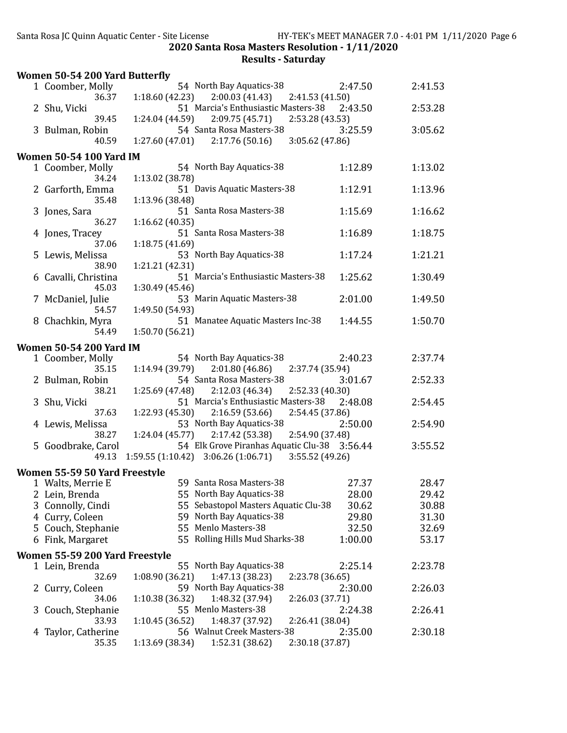|   | Women 50-54 200 Yard Butterfly |                                                          |         |         |
|---|--------------------------------|----------------------------------------------------------|---------|---------|
|   | 1 Coomber, Molly               | 54 North Bay Aquatics-38                                 | 2:47.50 | 2:41.53 |
|   | 36.37                          | 2:00.03(41.43)<br>1:18.60(42.23)<br>2:41.53 (41.50)      |         |         |
|   | 2 Shu, Vicki                   | 51 Marcia's Enthusiastic Masters-38                      | 2:43.50 | 2:53.28 |
|   | 39.45                          | 2:09.75(45.71)<br>2:53.28 (43.53)<br>1:24.04(44.59)      |         |         |
|   | 3 Bulman, Robin                | 54 Santa Rosa Masters-38                                 | 3:25.59 | 3:05.62 |
|   | 40.59                          | 2:17.76(50.16)<br>3:05.62 (47.86)<br>1:27.60(47.01)      |         |         |
|   | <b>Women 50-54 100 Yard IM</b> |                                                          |         |         |
|   | 1 Coomber, Molly               | 54 North Bay Aquatics-38                                 | 1:12.89 | 1:13.02 |
|   | 34.24                          | 1:13.02 (38.78)                                          |         |         |
|   | 2 Garforth, Emma               | 51 Davis Aquatic Masters-38                              | 1:12.91 | 1:13.96 |
|   | 35.48                          | 1:13.96 (38.48)                                          |         |         |
|   | 3 Jones, Sara                  | 51 Santa Rosa Masters-38                                 | 1:15.69 | 1:16.62 |
|   | 36.27                          | 1:16.62 (40.35)                                          |         |         |
|   | 4 Jones, Tracey                | 51 Santa Rosa Masters-38                                 | 1:16.89 | 1:18.75 |
|   | 37.06                          | 1:18.75 (41.69)                                          |         |         |
|   | 5 Lewis, Melissa               | 53 North Bay Aquatics-38                                 | 1:17.24 | 1:21.21 |
|   | 38.90                          | 1:21.21 (42.31)                                          |         |         |
|   | 6 Cavalli, Christina           | 51 Marcia's Enthusiastic Masters-38                      | 1:25.62 | 1:30.49 |
|   | 45.03                          | 1:30.49 (45.46)                                          |         |         |
|   | 7 McDaniel, Julie              | 53 Marin Aquatic Masters-38                              | 2:01.00 | 1:49.50 |
|   | 54.57                          | 1:49.50 (54.93)                                          |         |         |
|   | 8 Chachkin, Myra               | 51 Manatee Aquatic Masters Inc-38                        | 1:44.55 | 1:50.70 |
|   | 54.49                          | 1:50.70 (56.21)                                          |         |         |
|   | <b>Women 50-54 200 Yard IM</b> |                                                          |         |         |
|   | 1 Coomber, Molly               | 54 North Bay Aquatics-38                                 | 2:40.23 | 2:37.74 |
|   | 35.15                          | 1:14.94 (39.79)<br>2:01.80(46.86)<br>2:37.74 (35.94)     |         |         |
|   | 2 Bulman, Robin                | 54 Santa Rosa Masters-38                                 | 3:01.67 | 2:52.33 |
|   | 38.21                          | 1:25.69 (47.48)<br>2:12.03(46.34)<br>2:52.33 (40.30)     |         |         |
|   | 3 Shu, Vicki                   | 51 Marcia's Enthusiastic Masters-38                      | 2:48.08 | 2:54.45 |
|   | 37.63                          | 1:22.93 (45.30)<br>2:16.59(53.66)<br>2:54.45 (37.86)     |         |         |
|   | 4 Lewis, Melissa               | 53 North Bay Aquatics-38                                 | 2:50.00 | 2:54.90 |
|   | 38.27                          | $1:24.04(45.77)$ $2:17.42(53.38)$<br>2:54.90 (37.48)     |         |         |
|   | 5 Goodbrake, Carol             | 54 Elk Grove Piranhas Aquatic Clu-38 3:56.44             |         | 3:55.52 |
|   | 49.13                          | $1:59.55(1:10.42)$ $3:06.26(1:06.71)$<br>3:55.52 (49.26) |         |         |
|   | Women 55-59 50 Yard Freestyle  |                                                          |         |         |
|   | 1 Walts, Merrie E              | 59 Santa Rosa Masters-38                                 | 27.37   | 28.47   |
|   | 2 Lein, Brenda                 | 55 North Bay Aquatics-38                                 | 28.00   | 29.42   |
|   | 3 Connolly, Cindi              | 55 Sebastopol Masters Aquatic Clu-38                     | 30.62   | 30.88   |
|   | 4 Curry, Coleen                | 59 North Bay Aquatics-38                                 | 29.80   | 31.30   |
|   | 5 Couch, Stephanie             | 55 Menlo Masters-38                                      | 32.50   | 32.69   |
|   | 6 Fink, Margaret               | 55 Rolling Hills Mud Sharks-38                           | 1:00.00 | 53.17   |
|   |                                |                                                          |         |         |
|   | Women 55-59 200 Yard Freestyle | 55 North Bay Aquatics-38                                 | 2:25.14 | 2:23.78 |
|   | 1 Lein, Brenda<br>32.69        | 1:08.90 (36.21)<br>1:47.13 (38.23)<br>2:23.78 (36.65)    |         |         |
|   | 2 Curry, Coleen                | 59 North Bay Aquatics-38                                 | 2:30.00 | 2:26.03 |
|   | 34.06                          | 1:10.38 (36.32)<br>1:48.32 (37.94)<br>2:26.03 (37.71)    |         |         |
| 3 | Couch, Stephanie               | 55 Menlo Masters-38                                      | 2:24.38 | 2:26.41 |
|   | 33.93                          | 1:10.45 (36.52)<br>1:48.37 (37.92)<br>2:26.41 (38.04)    |         |         |
| 4 | Taylor, Catherine              | 56 Walnut Creek Masters-38                               | 2:35.00 | 2:30.18 |
|   | 35.35                          | 1:13.69 (38.34)<br>1:52.31 (38.62)<br>2:30.18 (37.87)    |         |         |
|   |                                |                                                          |         |         |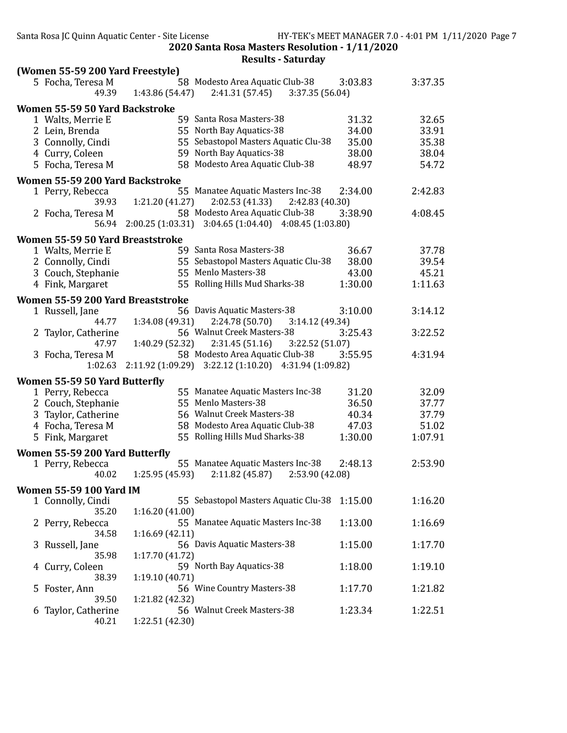|   | (Women 55-59 200 Yard Freestyle)  |                                                                                                    |         |
|---|-----------------------------------|----------------------------------------------------------------------------------------------------|---------|
|   | 5 Focha, Teresa M<br>49.39        | 58 Modesto Area Aquatic Club-38<br>3:03.83<br>1:43.86 (54.47)<br>$2:41.31(57.45)$ $3:37.35(56.04)$ | 3:37.35 |
|   | Women 55-59 50 Yard Backstroke    |                                                                                                    |         |
|   | 1 Walts, Merrie E                 | 59 Santa Rosa Masters-38<br>31.32                                                                  | 32.65   |
|   | 2 Lein, Brenda                    | 55 North Bay Aquatics-38<br>34.00                                                                  | 33.91   |
|   | 3 Connolly, Cindi                 | 55 Sebastopol Masters Aquatic Clu-38<br>35.00                                                      | 35.38   |
|   | 4 Curry, Coleen                   | 59 North Bay Aquatics-38<br>38.00                                                                  | 38.04   |
|   | 5 Focha, Teresa M                 | 58 Modesto Area Aquatic Club-38<br>48.97                                                           | 54.72   |
|   | Women 55-59 200 Yard Backstroke   |                                                                                                    |         |
|   | 1 Perry, Rebecca                  | 55 Manatee Aquatic Masters Inc-38<br>2:34.00                                                       | 2:42.83 |
|   | 39.93                             | 1:21.20(41.27)<br>2:02.53 (41.33)<br>2:42.83 (40.30)                                               |         |
|   | 2 Focha, Teresa M                 | 58 Modesto Area Aquatic Club-38<br>3:38.90                                                         | 4:08.45 |
|   | 56.94                             | 2:00.25 (1:03.31) 3:04.65 (1:04.40) 4:08.45 (1:03.80)                                              |         |
|   | Women 55-59 50 Yard Breaststroke  |                                                                                                    |         |
|   | 1 Walts, Merrie E                 | 59 Santa Rosa Masters-38<br>36.67                                                                  | 37.78   |
|   | 2 Connolly, Cindi                 | 55 Sebastopol Masters Aquatic Clu-38<br>38.00                                                      | 39.54   |
|   | 3 Couch, Stephanie                | 55 Menlo Masters-38<br>43.00                                                                       | 45.21   |
|   | 4 Fink, Margaret                  | 55 Rolling Hills Mud Sharks-38<br>1:30.00                                                          | 1:11.63 |
|   | Women 55-59 200 Yard Breaststroke |                                                                                                    |         |
|   | 1 Russell, Jane                   | 56 Davis Aquatic Masters-38<br>3:10.00                                                             | 3:14.12 |
|   | 44.77                             | 1:34.08 (49.31)<br>2:24.78 (50.70)<br>3:14.12 (49.34)                                              |         |
|   | 2 Taylor, Catherine               | 56 Walnut Creek Masters-38<br>3:25.43                                                              | 3:22.52 |
|   | 47.97                             | 1:40.29 (52.32)<br>2:31.45(51.16)<br>3:22.52 (51.07)                                               |         |
|   | 3 Focha, Teresa M                 | 58 Modesto Area Aquatic Club-38<br>3:55.95                                                         | 4:31.94 |
|   | 1:02.63                           | 2:11.92 (1:09.29) 3:22.12 (1:10.20) 4:31.94 (1:09.82)                                              |         |
|   | Women 55-59 50 Yard Butterfly     |                                                                                                    |         |
|   | 1 Perry, Rebecca                  | 55 Manatee Aquatic Masters Inc-38<br>31.20                                                         | 32.09   |
|   | 2 Couch, Stephanie                | 55 Menlo Masters-38<br>36.50                                                                       | 37.77   |
|   | 3 Taylor, Catherine               | 56 Walnut Creek Masters-38<br>40.34                                                                | 37.79   |
|   | 4 Focha, Teresa M                 | 58 Modesto Area Aquatic Club-38<br>47.03                                                           | 51.02   |
|   | 5 Fink, Margaret                  | 55 Rolling Hills Mud Sharks-38<br>1:30.00                                                          | 1:07.91 |
|   | Women 55-59 200 Yard Butterfly    |                                                                                                    |         |
|   | 1 Perry, Rebecca                  | 55 Manatee Aquatic Masters Inc-38<br>2:48.13                                                       | 2:53.90 |
|   | 40.02                             | 1:25.95 (45.93)<br>2:11.82 (45.87)<br>2:53.90 (42.08)                                              |         |
|   | <b>Women 55-59 100 Yard IM</b>    |                                                                                                    |         |
|   | 1 Connolly, Cindi                 | 55 Sebastopol Masters Aquatic Clu-38<br>1:15.00                                                    | 1:16.20 |
|   | 35.20                             | 1:16.20(41.00)                                                                                     |         |
|   | 2 Perry, Rebecca                  | 55 Manatee Aquatic Masters Inc-38<br>1:13.00                                                       | 1:16.69 |
|   | 34.58                             | 1:16.69(42.11)                                                                                     |         |
| 3 | Russell, Jane                     | 56 Davis Aquatic Masters-38<br>1:15.00                                                             | 1:17.70 |
|   | 35.98                             | 1:17.70 (41.72)                                                                                    |         |
| 4 | Curry, Coleen                     | 59 North Bay Aquatics-38<br>1:18.00                                                                | 1:19.10 |
|   | 38.39                             | 1:19.10(40.71)                                                                                     |         |
| 5 | Foster, Ann                       | 56 Wine Country Masters-38<br>1:17.70                                                              | 1:21.82 |
|   | 39.50                             | 1:21.82 (42.32)<br>56 Walnut Creek Masters-38                                                      |         |
| 6 | Taylor, Catherine<br>40.21        | 1:23.34<br>1:22.51 (42.30)                                                                         | 1:22.51 |
|   |                                   |                                                                                                    |         |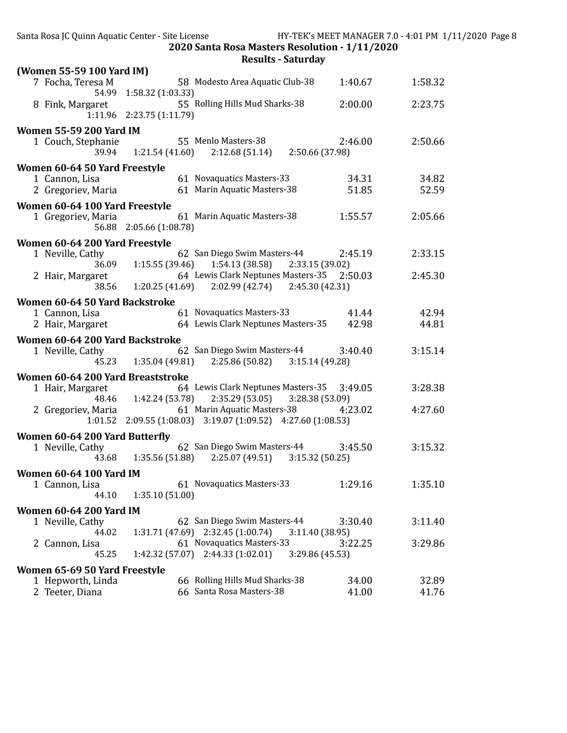|                                   | Santa Rosa JC Quinn Aquatic Center - Site License                                                   |                            | HY-TEK's MEET MANAGER 7.0 - 4:01 PM 1/11/2020 Page 8 |  |
|-----------------------------------|-----------------------------------------------------------------------------------------------------|----------------------------|------------------------------------------------------|--|
|                                   | 2020 Santa Rosa Masters Resolution - 1/11/2020<br><b>Results - Saturday</b>                         |                            |                                                      |  |
| (Women 55-59 100 Yard IM)         |                                                                                                     |                            |                                                      |  |
| 7 Focha, Teresa M                 | 58 Modesto Area Aquatic Club-38<br>54.99 1:58.32 (1:03.33)                                          | 1:40.67                    | 1:58.32                                              |  |
| 8 Fink, Margaret                  | 55 Rolling Hills Mud Sharks-38<br>1:11.96 2:23.75 (1:11.79)                                         | 2:00.00                    | 2:23.75                                              |  |
| <b>Women 55-59 200 Yard IM</b>    |                                                                                                     |                            |                                                      |  |
| 1 Couch, Stephanie<br>39.94       | 55 Menlo Masters-38<br>$1:21.54(41.60)$ $2:12.68(51.14)$ $2:50.66(37.98)$                           | 2:46.00                    | 2:50.66                                              |  |
| Women 60-64 50 Yard Freestyle     |                                                                                                     |                            |                                                      |  |
| 1 Cannon, Lisa                    | 61 Novaquatics Masters-33                                                                           | 34.31                      | 34.82                                                |  |
| 2 Gregoriev, Maria                | 61 Marin Aquatic Masters-38                                                                         | 51.85                      | 52.59                                                |  |
| Women 60-64 100 Yard Freestyle    |                                                                                                     |                            |                                                      |  |
| 1 Gregoriev, Maria                | 61 Marin Aquatic Masters-38<br>56.88 2:05.66 (1:08.78)                                              | 1:55.57                    | 2:05.66                                              |  |
| Women 60-64 200 Yard Freestyle    |                                                                                                     |                            |                                                      |  |
| 1 Neville, Cathy<br>36.09         | 62 San Diego Swim Masters-44<br>$1:15.55(39.46)$ $1:54.13(38.58)$                                   | 2:45.19<br>2:33.15 (39.02) | 2:33.15                                              |  |
| 2 Hair, Margaret<br>38.56         | 64 Lewis Clark Neptunes Masters-35 2:50.03<br>$1:20.25(41.69)$ $2:02.99(42.74)$ $2:45.30(42.31)$    |                            | 2:45.30                                              |  |
| Women 60-64 50 Yard Backstroke    |                                                                                                     |                            |                                                      |  |
| 1 Cannon, Lisa                    | 61 Novaquatics Masters-33                                                                           | 41.44                      | 42.94                                                |  |
| 2 Hair, Margaret                  | 64 Lewis Clark Neptunes Masters-35                                                                  | 42.98                      | 44.81                                                |  |
| Women 60-64 200 Yard Backstroke   |                                                                                                     |                            |                                                      |  |
| 1 Neville, Cathy                  | 62 San Diego Swim Masters-44<br>45.23 1:35.04 (49.81) 2:25.86 (50.82) 3:15.14 (49.28)               | 3:40.40                    | 3:15.14                                              |  |
| Women 60-64 200 Yard Breaststroke |                                                                                                     |                            |                                                      |  |
| 1 Hair, Margaret                  | 64 Lewis Clark Neptunes Masters-35 3:49.05<br>48.46 1:42.24 (53.78) 2:35.29 (53.05) 3:28.38 (53.09) |                            | 3:28.38                                              |  |
| 2 Gregoriev, Maria                | 61 Marin Aquatic Masters-38<br>1:01.52 2:09.55 (1:08.03) 3:19.07 (1:09.52) 4:27.60 (1:08.53)        | 4:23.02                    | 4:27.60                                              |  |
| Women 60-64 200 Yard Butterfly    |                                                                                                     |                            |                                                      |  |
| 1 Neville, Cathy<br>43.68         | 62 San Diego Swim Masters-44<br>2:25.07(49.51)<br>1:35.56 (51.88)                                   | 3:45.50<br>3:15.32(50.25)  | 3:15.32                                              |  |
| <b>Women 60-64 100 Yard IM</b>    |                                                                                                     |                            |                                                      |  |
| 1 Cannon, Lisa<br>44.10           | 61 Novaquatics Masters-33<br>1:35.10(51.00)                                                         | 1:29.16                    | 1:35.10                                              |  |
| <b>Women 60-64 200 Yard IM</b>    |                                                                                                     |                            |                                                      |  |
| 1 Neville, Cathy                  | 62 San Diego Swim Masters-44                                                                        | 3:30.40                    | 3:11.40                                              |  |
| 44.02                             | 1:31.71 (47.69) 2:32.45 (1:00.74)                                                                   | 3:11.40 (38.95)            |                                                      |  |
| 2 Cannon, Lisa<br>45.25           | 61 Novaquatics Masters-33<br>$1:42.32(57.07)$ $2:44.33(1:02.01)$                                    | 3:22.25<br>3:29.86 (45.53) | 3:29.86                                              |  |
| Women 65-69 50 Yard Freestyle     |                                                                                                     |                            |                                                      |  |
| 1 Hepworth, Linda                 | 66 Rolling Hills Mud Sharks-38                                                                      | 34.00                      | 32.89                                                |  |
| 2 Teeter, Diana                   | 66 Santa Rosa Masters-38                                                                            | 41.00                      | 41.76                                                |  |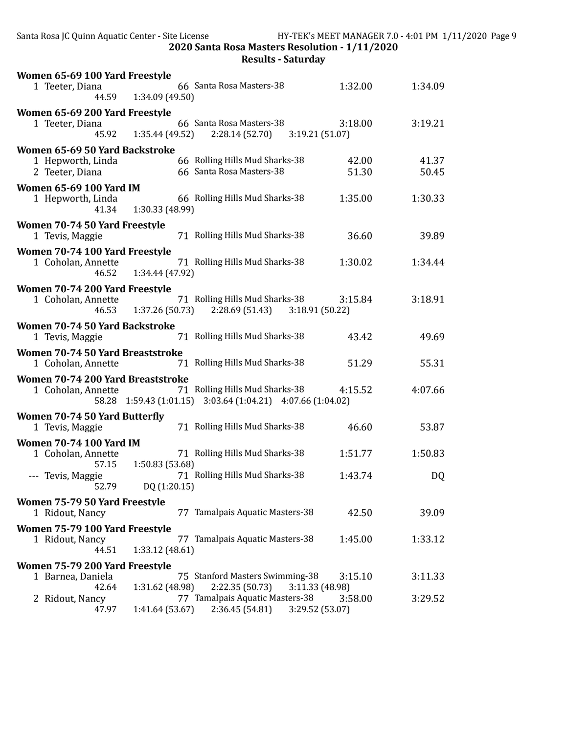Santa Rosa JC Quinn Aquatic Center - Site License HY-TEK's MEET MANAGER 7.0 - 4:01 PM 1/11/2020 Page 9 2020 Santa Rosa Masters Resolution - 1/11/2020

| 66 Santa Rosa Masters-38<br>1 Teeter, Diana<br>1:32.00<br>1:34.09<br>44.59 1:34.09 (49.50)<br>Women 65-69 200 Yard Freestyle<br>66 Santa Rosa Masters-38<br>3:18.00<br>3:19.21<br>1 Teeter, Diana<br>45.92   1:35.44 (49.52)<br>$2:28.14(52.70)$ $3:19.21(51.07)$<br>Women 65-69 50 Yard Backstroke<br>66 Rolling Hills Mud Sharks-38<br>42.00<br>1 Hepworth, Linda<br>41.37<br>66 Santa Rosa Masters-38<br>51.30<br>50.45<br>2 Teeter, Diana<br><b>Women 65-69 100 Yard IM</b><br>66 Rolling Hills Mud Sharks-38<br>1 Hepworth, Linda<br>1:35.00<br>1:30.33<br>41.34 1:30.33 (48.99)<br>Women 70-74 50 Yard Freestyle<br>71 Rolling Hills Mud Sharks-38<br>36.60<br>1 Tevis, Maggie<br>39.89<br>Women 70-74 100 Yard Freestyle<br>71 Rolling Hills Mud Sharks-38<br>1 Coholan, Annette<br>1:30.02<br>1:34.44<br>1:34.44 (47.92)<br>46.52<br>Women 70-74 200 Yard Freestyle<br>71 Rolling Hills Mud Sharks-38<br>3:15.84<br>3:18.91<br>1 Coholan, Annette<br>46.53 1:37.26 (50.73)<br>$2:28.69(51.43)$ $3:18.91(50.22)$<br>Women 70-74 50 Yard Backstroke<br>71 Rolling Hills Mud Sharks-38<br>43.42<br>49.69<br>1 Tevis, Maggie<br>Women 70-74 50 Yard Breaststroke<br>71 Rolling Hills Mud Sharks-38<br>55.31<br>51.29<br>1 Coholan, Annette<br>Women 70-74 200 Yard Breaststroke<br>71 Rolling Hills Mud Sharks-38<br>4:15.52<br>4:07.66<br>1 Coholan, Annette<br>58.28 1:59.43 (1:01.15) 3:03.64 (1:04.21) 4:07.66 (1:04.02)<br>Women 70-74 50 Yard Butterfly |
|-------------------------------------------------------------------------------------------------------------------------------------------------------------------------------------------------------------------------------------------------------------------------------------------------------------------------------------------------------------------------------------------------------------------------------------------------------------------------------------------------------------------------------------------------------------------------------------------------------------------------------------------------------------------------------------------------------------------------------------------------------------------------------------------------------------------------------------------------------------------------------------------------------------------------------------------------------------------------------------------------------------------------------------------------------------------------------------------------------------------------------------------------------------------------------------------------------------------------------------------------------------------------------------------------------------------------------------------------------------------------------------------------------------------------------------------------------------------|
|                                                                                                                                                                                                                                                                                                                                                                                                                                                                                                                                                                                                                                                                                                                                                                                                                                                                                                                                                                                                                                                                                                                                                                                                                                                                                                                                                                                                                                                                   |
|                                                                                                                                                                                                                                                                                                                                                                                                                                                                                                                                                                                                                                                                                                                                                                                                                                                                                                                                                                                                                                                                                                                                                                                                                                                                                                                                                                                                                                                                   |
|                                                                                                                                                                                                                                                                                                                                                                                                                                                                                                                                                                                                                                                                                                                                                                                                                                                                                                                                                                                                                                                                                                                                                                                                                                                                                                                                                                                                                                                                   |
|                                                                                                                                                                                                                                                                                                                                                                                                                                                                                                                                                                                                                                                                                                                                                                                                                                                                                                                                                                                                                                                                                                                                                                                                                                                                                                                                                                                                                                                                   |
|                                                                                                                                                                                                                                                                                                                                                                                                                                                                                                                                                                                                                                                                                                                                                                                                                                                                                                                                                                                                                                                                                                                                                                                                                                                                                                                                                                                                                                                                   |
|                                                                                                                                                                                                                                                                                                                                                                                                                                                                                                                                                                                                                                                                                                                                                                                                                                                                                                                                                                                                                                                                                                                                                                                                                                                                                                                                                                                                                                                                   |
|                                                                                                                                                                                                                                                                                                                                                                                                                                                                                                                                                                                                                                                                                                                                                                                                                                                                                                                                                                                                                                                                                                                                                                                                                                                                                                                                                                                                                                                                   |
|                                                                                                                                                                                                                                                                                                                                                                                                                                                                                                                                                                                                                                                                                                                                                                                                                                                                                                                                                                                                                                                                                                                                                                                                                                                                                                                                                                                                                                                                   |
|                                                                                                                                                                                                                                                                                                                                                                                                                                                                                                                                                                                                                                                                                                                                                                                                                                                                                                                                                                                                                                                                                                                                                                                                                                                                                                                                                                                                                                                                   |
|                                                                                                                                                                                                                                                                                                                                                                                                                                                                                                                                                                                                                                                                                                                                                                                                                                                                                                                                                                                                                                                                                                                                                                                                                                                                                                                                                                                                                                                                   |
|                                                                                                                                                                                                                                                                                                                                                                                                                                                                                                                                                                                                                                                                                                                                                                                                                                                                                                                                                                                                                                                                                                                                                                                                                                                                                                                                                                                                                                                                   |
|                                                                                                                                                                                                                                                                                                                                                                                                                                                                                                                                                                                                                                                                                                                                                                                                                                                                                                                                                                                                                                                                                                                                                                                                                                                                                                                                                                                                                                                                   |
|                                                                                                                                                                                                                                                                                                                                                                                                                                                                                                                                                                                                                                                                                                                                                                                                                                                                                                                                                                                                                                                                                                                                                                                                                                                                                                                                                                                                                                                                   |
|                                                                                                                                                                                                                                                                                                                                                                                                                                                                                                                                                                                                                                                                                                                                                                                                                                                                                                                                                                                                                                                                                                                                                                                                                                                                                                                                                                                                                                                                   |
|                                                                                                                                                                                                                                                                                                                                                                                                                                                                                                                                                                                                                                                                                                                                                                                                                                                                                                                                                                                                                                                                                                                                                                                                                                                                                                                                                                                                                                                                   |
|                                                                                                                                                                                                                                                                                                                                                                                                                                                                                                                                                                                                                                                                                                                                                                                                                                                                                                                                                                                                                                                                                                                                                                                                                                                                                                                                                                                                                                                                   |
|                                                                                                                                                                                                                                                                                                                                                                                                                                                                                                                                                                                                                                                                                                                                                                                                                                                                                                                                                                                                                                                                                                                                                                                                                                                                                                                                                                                                                                                                   |
|                                                                                                                                                                                                                                                                                                                                                                                                                                                                                                                                                                                                                                                                                                                                                                                                                                                                                                                                                                                                                                                                                                                                                                                                                                                                                                                                                                                                                                                                   |
|                                                                                                                                                                                                                                                                                                                                                                                                                                                                                                                                                                                                                                                                                                                                                                                                                                                                                                                                                                                                                                                                                                                                                                                                                                                                                                                                                                                                                                                                   |
| 71 Rolling Hills Mud Sharks-38<br>46.60<br>53.87<br>1 Tevis, Maggie                                                                                                                                                                                                                                                                                                                                                                                                                                                                                                                                                                                                                                                                                                                                                                                                                                                                                                                                                                                                                                                                                                                                                                                                                                                                                                                                                                                               |
| <b>Women 70-74 100 Yard IM</b>                                                                                                                                                                                                                                                                                                                                                                                                                                                                                                                                                                                                                                                                                                                                                                                                                                                                                                                                                                                                                                                                                                                                                                                                                                                                                                                                                                                                                                    |
| 71 Rolling Hills Mud Sharks-38<br>1:50.83<br>1 Coholan, Annette<br>1:51.77<br>57.15<br>1:50.83 (53.68)                                                                                                                                                                                                                                                                                                                                                                                                                                                                                                                                                                                                                                                                                                                                                                                                                                                                                                                                                                                                                                                                                                                                                                                                                                                                                                                                                            |
| 71 Rolling Hills Mud Sharks-38<br>--- Tevis, Maggie<br>1:43.74<br>DQ<br>52.79<br>DQ (1:20.15)                                                                                                                                                                                                                                                                                                                                                                                                                                                                                                                                                                                                                                                                                                                                                                                                                                                                                                                                                                                                                                                                                                                                                                                                                                                                                                                                                                     |
| Women 75-79 50 Yard Freestyle                                                                                                                                                                                                                                                                                                                                                                                                                                                                                                                                                                                                                                                                                                                                                                                                                                                                                                                                                                                                                                                                                                                                                                                                                                                                                                                                                                                                                                     |
| 77 Tamalpais Aquatic Masters-38<br>1 Ridout, Nancy<br>42.50<br>39.09                                                                                                                                                                                                                                                                                                                                                                                                                                                                                                                                                                                                                                                                                                                                                                                                                                                                                                                                                                                                                                                                                                                                                                                                                                                                                                                                                                                              |
| Women 75-79 100 Yard Freestyle                                                                                                                                                                                                                                                                                                                                                                                                                                                                                                                                                                                                                                                                                                                                                                                                                                                                                                                                                                                                                                                                                                                                                                                                                                                                                                                                                                                                                                    |
| 77 Tamalpais Aquatic Masters-38<br>1 Ridout, Nancy<br>1:45.00<br>1:33.12<br>44.51<br>1:33.12 (48.61)                                                                                                                                                                                                                                                                                                                                                                                                                                                                                                                                                                                                                                                                                                                                                                                                                                                                                                                                                                                                                                                                                                                                                                                                                                                                                                                                                              |
| Women 75-79 200 Yard Freestyle                                                                                                                                                                                                                                                                                                                                                                                                                                                                                                                                                                                                                                                                                                                                                                                                                                                                                                                                                                                                                                                                                                                                                                                                                                                                                                                                                                                                                                    |
| 75 Stanford Masters Swimming-38<br>3:15.10<br>3:11.33<br>1 Barnea, Daniela<br>1:31.62 (48.98)<br>2:22.35 (50.73)<br>42.64<br>3:11.33 (48.98)                                                                                                                                                                                                                                                                                                                                                                                                                                                                                                                                                                                                                                                                                                                                                                                                                                                                                                                                                                                                                                                                                                                                                                                                                                                                                                                      |
| 77 Tamalpais Aquatic Masters-38<br>2 Ridout, Nancy<br>3:58.00<br>3:29.52<br>47.97<br>1:41.64 (53.67)<br>2:36.45 (54.81)<br>3:29.52 (53.07)                                                                                                                                                                                                                                                                                                                                                                                                                                                                                                                                                                                                                                                                                                                                                                                                                                                                                                                                                                                                                                                                                                                                                                                                                                                                                                                        |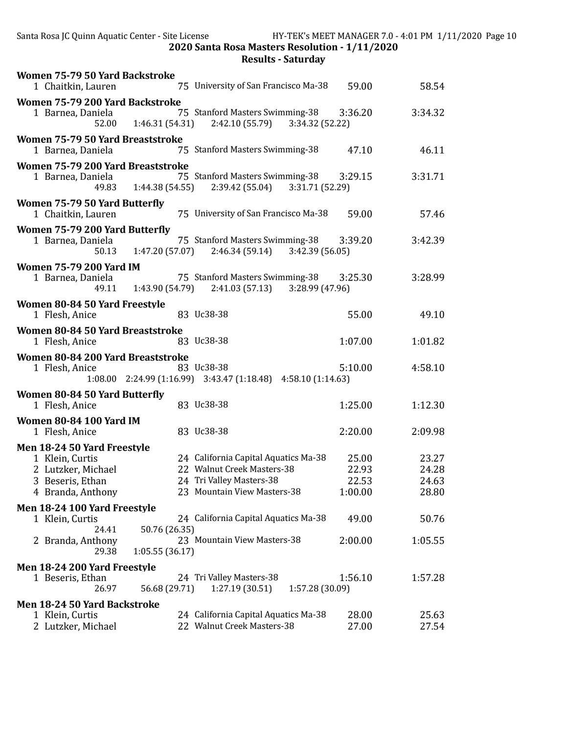| Women 75-79 50 Yard Backstroke<br>75 University of San Francisco Ma-38<br>1 Chaitkin, Lauren                                                                                                                                                   | 59.00                              | 58.54                            |
|------------------------------------------------------------------------------------------------------------------------------------------------------------------------------------------------------------------------------------------------|------------------------------------|----------------------------------|
| Women 75-79 200 Yard Backstroke<br>75 Stanford Masters Swimming-38<br>1 Barnea, Daniela<br>1:46.31 (54.31)<br>2:42.10 (55.79)<br>3:34.32 (52.22)<br>52.00                                                                                      | 3:36.20                            | 3:34.32                          |
| Women 75-79 50 Yard Breaststroke<br>75 Stanford Masters Swimming-38<br>1 Barnea, Daniela                                                                                                                                                       | 47.10                              | 46.11                            |
| Women 75-79 200 Yard Breaststroke<br>75 Stanford Masters Swimming-38<br>1 Barnea, Daniela<br>49.83 1:44.38 (54.55)<br>2:39.42 (55.04)<br>3:31.71 (52.29)                                                                                       | 3:29.15                            | 3:31.71                          |
| Women 75-79 50 Yard Butterfly<br>75 University of San Francisco Ma-38<br>1 Chaitkin, Lauren                                                                                                                                                    | 59.00                              | 57.46                            |
| Women 75-79 200 Yard Butterfly<br>75 Stanford Masters Swimming-38<br>1 Barnea, Daniela<br>$1:47.20(57.07)$ $2:46.34(59.14)$<br>3:42.39 (56.05)<br>50.13                                                                                        | 3:39.20                            | 3:42.39                          |
| <b>Women 75-79 200 Yard IM</b><br>75 Stanford Masters Swimming-38<br>1 Barnea, Daniela<br>$1:43.90(54.79)$ $2:41.03(57.13)$ $3:28.99(47.96)$<br>49.11                                                                                          | 3:25.30                            | 3:28.99                          |
| Women 80-84 50 Yard Freestyle<br>83 Uc38-38<br>1 Flesh, Anice                                                                                                                                                                                  | 55.00                              | 49.10                            |
| Women 80-84 50 Yard Breaststroke<br>83 Uc38-38<br>1 Flesh, Anice                                                                                                                                                                               | 1:07.00                            | 1:01.82                          |
| Women 80-84 200 Yard Breaststroke<br>83 Uc38-38<br>1 Flesh, Anice<br>1:08.00 2:24.99 (1:16.99) 3:43.47 (1:18.48) 4:58.10 (1:14.63)                                                                                                             | 5:10.00                            | 4:58.10                          |
| Women 80-84 50 Yard Butterfly<br>83 Uc38-38<br>1 Flesh, Anice                                                                                                                                                                                  | 1:25.00                            | 1:12.30                          |
| <b>Women 80-84 100 Yard IM</b><br>83 Uc38-38<br>1 Flesh, Anice                                                                                                                                                                                 | 2:20.00                            | 2:09.98                          |
| Men 18-24 50 Yard Freestyle<br>24 California Capital Aquatics Ma-38<br>1 Klein, Curtis<br>22 Walnut Creek Masters-38<br>2 Lutzker, Michael<br>24 Tri Valley Masters-38<br>3 Beseris, Ethan<br>4 Branda, Anthony<br>23 Mountain View Masters-38 | 25.00<br>22.93<br>22.53<br>1:00.00 | 23.27<br>24.28<br>24.63<br>28.80 |
| Men 18-24 100 Yard Freestyle<br>24 California Capital Aquatics Ma-38<br>1 Klein, Curtis                                                                                                                                                        | 49.00                              | 50.76                            |
| 50.76 (26.35)<br>24.41<br>23 Mountain View Masters-38<br>2 Branda, Anthony<br>29.38<br>1:05.55(36.17)                                                                                                                                          | 2:00.00                            | 1:05.55                          |
| Men 18-24 200 Yard Freestyle<br>24 Tri Valley Masters-38<br>1 Beseris, Ethan<br>26.97<br>56.68 (29.71)<br>1:27.19 (30.51)<br>1:57.28 (30.09)                                                                                                   | 1:56.10                            | 1:57.28                          |
| Men 18-24 50 Yard Backstroke                                                                                                                                                                                                                   |                                    |                                  |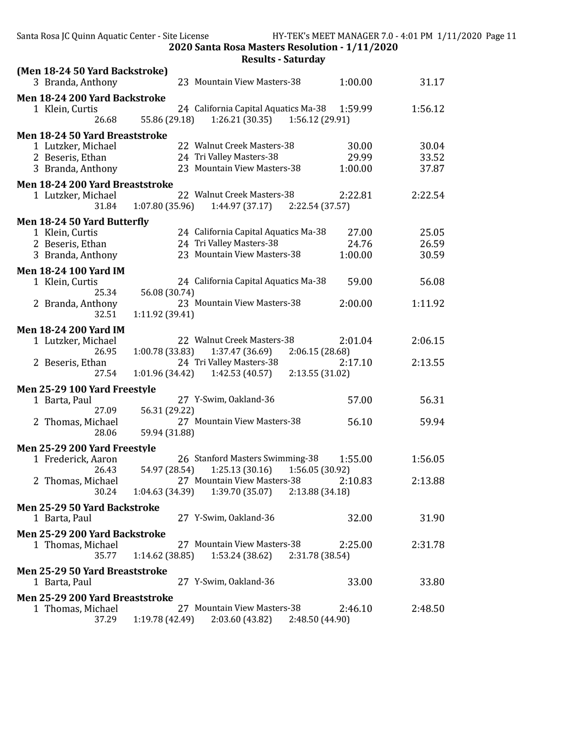| (Men 18-24 50 Yard Backstroke)<br>3 Branda, Anthony                                           | 23 Mountain View Masters-38<br>1:00.00                                                                             | 31.17                   |
|-----------------------------------------------------------------------------------------------|--------------------------------------------------------------------------------------------------------------------|-------------------------|
| Men 18-24 200 Yard Backstroke<br>1 Klein, Curtis<br>26.68                                     | 24 California Capital Aquatics Ma-38<br>1:59.99<br>55.86 (29.18)<br>$1:26.21(30.35)$ $1:56.12(29.91)$              | 1:56.12                 |
| Men 18-24 50 Yard Breaststroke<br>1 Lutzker, Michael<br>2 Beseris, Ethan<br>3 Branda, Anthony | 22 Walnut Creek Masters-38<br>30.00<br>24 Tri Valley Masters-38<br>29.99<br>23 Mountain View Masters-38<br>1:00.00 | 30.04<br>33.52<br>37.87 |
| Men 18-24 200 Yard Breaststroke<br>1 Lutzker, Michael<br>31.84                                | 22 Walnut Creek Masters-38<br>2:22.81<br>1:07.80 (35.96)<br>$1:44.97(37.17)$ $2:22.54(37.57)$                      | 2:22.54                 |
| Men 18-24 50 Yard Butterfly<br>1 Klein, Curtis                                                | 24 California Capital Aquatics Ma-38<br>27.00                                                                      | 25.05                   |
| 2 Beseris, Ethan<br>3 Branda, Anthony                                                         | 24 Tri Valley Masters-38<br>24.76<br>23 Mountain View Masters-38<br>1:00.00                                        | 26.59<br>30.59          |
| <b>Men 18-24 100 Yard IM</b><br>1 Klein, Curtis                                               | 24 California Capital Aquatics Ma-38<br>59.00                                                                      | 56.08                   |
| 25.34                                                                                         | 56.08 (30.74)                                                                                                      |                         |
| 2 Branda, Anthony<br>32.51                                                                    | 23 Mountain View Masters-38<br>2:00.00<br>1:11.92 (39.41)                                                          | 1:11.92                 |
| <b>Men 18-24 200 Yard IM</b><br>1 Lutzker, Michael<br>26.95                                   | 22 Walnut Creek Masters-38<br>2:01.04<br>1:00.78 (33.83)<br>1:37.47 (36.69)<br>2:06.15(28.68)                      | 2:06.15                 |
| 2 Beseris, Ethan<br>27.54                                                                     | 24 Tri Valley Masters-38<br>2:17.10<br>1:01.96 (34.42)<br>2:13.55(31.02)<br>1:42.53 (40.57)                        | 2:13.55                 |
| Men 25-29 100 Yard Freestyle                                                                  |                                                                                                                    |                         |
| 1 Barta, Paul<br>27.09                                                                        | 27 Y-Swim, Oakland-36<br>57.00<br>56.31 (29.22)                                                                    | 56.31                   |
| 2 Thomas, Michael<br>28.06                                                                    | 27 Mountain View Masters-38<br>56.10<br>59.94 (31.88)                                                              | 59.94                   |
| Men 25-29 200 Yard Freestyle                                                                  | 26 Stanford Masters Swimming-38                                                                                    |                         |
| 1 Frederick, Aaron<br>26.43                                                                   | 1:55.00<br>$1:25.13(30.16)$ $1:56.05(30.92)$<br>54.97 (28.54)                                                      | 1:56.05                 |
| 2 Thomas, Michael<br>30.24                                                                    | 2:10.83<br>27 Mountain View Masters-38<br>$1:04.63$ (34.39) $1:39.70$ (35.07) $2:13.88$ (34.18)                    | 2:13.88                 |
| Men 25-29 50 Yard Backstroke<br>1 Barta, Paul                                                 | 27 Y-Swim, Oakland-36<br>32.00                                                                                     | 31.90                   |
| Men 25-29 200 Yard Backstroke<br>1 Thomas, Michael<br>35.77                                   | 27 Mountain View Masters-38<br>2:25.00<br>1:14.62(38.85)<br>$1:53.24(38.62)$ $2:31.78(38.54)$                      | 2:31.78                 |
| Men 25-29 50 Yard Breaststroke<br>1 Barta, Paul                                               | 27 Y-Swim, Oakland-36<br>33.00                                                                                     | 33.80                   |
| Men 25-29 200 Yard Breaststroke<br>1 Thomas, Michael<br>37.29                                 | 27 Mountain View Masters-38<br>2:46.10<br>1:19.78 (42.49)<br>2:03.60(43.82)<br>2:48.50 (44.90)                     | 2:48.50                 |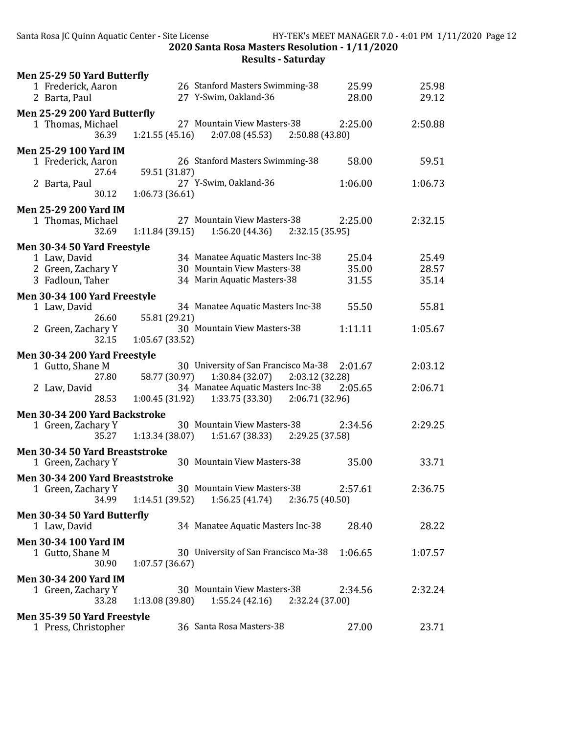| Men 25-29 50 Yard Butterfly     |                                                      |         |
|---------------------------------|------------------------------------------------------|---------|
| 1 Frederick, Aaron              | 26 Stanford Masters Swimming-38<br>25.99             | 25.98   |
| 2 Barta, Paul                   | 27 Y-Swim, Oakland-36<br>28.00                       | 29.12   |
| Men 25-29 200 Yard Butterfly    |                                                      |         |
| 1 Thomas, Michael               | 27 Mountain View Masters-38<br>2:25.00               | 2:50.88 |
| 36.39                           | 1:21.55(45.16)<br>2:07.08 (45.53) 2:50.88 (43.80)    |         |
| <b>Men 25-29 100 Yard IM</b>    |                                                      |         |
| 1 Frederick, Aaron              | 26 Stanford Masters Swimming-38<br>58.00             | 59.51   |
| 27.64                           | 59.51 (31.87)                                        |         |
| 2 Barta, Paul                   | 27 Y-Swim, Oakland-36<br>1:06.00                     | 1:06.73 |
| 30.12                           | 1:06.73(36.61)                                       |         |
| <b>Men 25-29 200 Yard IM</b>    |                                                      |         |
| 1 Thomas, Michael               | 27 Mountain View Masters-38<br>2:25.00               | 2:32.15 |
| 32.69                           | 1:11.84 (39.15)<br>$1:56.20(44.36)$ $2:32.15(35.95)$ |         |
| Men 30-34 50 Yard Freestyle     |                                                      |         |
| 1 Law, David                    | 34 Manatee Aquatic Masters Inc-38<br>25.04           | 25.49   |
| 2 Green, Zachary Y              | 30 Mountain View Masters-38<br>35.00                 | 28.57   |
| 3 Fadloun, Taher                | 34 Marin Aquatic Masters-38<br>31.55                 | 35.14   |
| Men 30-34 100 Yard Freestyle    |                                                      |         |
| 1 Law, David                    | 34 Manatee Aquatic Masters Inc-38<br>55.50           | 55.81   |
| 26.60                           | 55.81 (29.21)                                        |         |
| 2 Green, Zachary Y              | 30 Mountain View Masters-38<br>1:11.11               | 1:05.67 |
| 32.15                           | 1:05.67(33.52)                                       |         |
| Men 30-34 200 Yard Freestyle    |                                                      |         |
| 1 Gutto, Shane M                | 30 University of San Francisco Ma-38<br>2:01.67      | 2:03.12 |
| 27.80                           | 58.77 (30.97)<br>1:30.84 (32.07)<br>2:03.12 (32.28)  |         |
| 2 Law, David                    | 34 Manatee Aquatic Masters Inc-38<br>2:05.65         | 2:06.71 |
| 28.53                           | $1:33.75(33.30)$ $2:06.71(32.96)$<br>1:00.45 (31.92) |         |
| Men 30-34 200 Yard Backstroke   |                                                      |         |
| 1 Green, Zachary Y              | 30 Mountain View Masters-38<br>2:34.56               | 2:29.25 |
| 35.27                           | 1:13.34 (38.07)<br>$1:51.67(38.33)$ $2:29.25(37.58)$ |         |
| Men 30-34 50 Yard Breaststroke  |                                                      |         |
| 1 Green, Zachary Y              | 30 Mountain View Masters-38<br>35.00                 | 33.71   |
| Men 30-34 200 Yard Breaststroke |                                                      |         |
| 1 Green, Zachary Y              | 30 Mountain View Masters-38<br>2:57.61               | 2:36.75 |
| 34.99                           | 1:14.51(39.52)<br>1:56.25(41.74)<br>2:36.75(40.50)   |         |
| Men 30-34 50 Yard Butterfly     |                                                      |         |
| 1 Law, David                    | 34 Manatee Aquatic Masters Inc-38<br>28.40           | 28.22   |
| <b>Men 30-34 100 Yard IM</b>    |                                                      |         |
| 1 Gutto, Shane M                | 30 University of San Francisco Ma-38<br>1:06.65      | 1:07.57 |
| 30.90                           | 1:07.57(36.67)                                       |         |
| <b>Men 30-34 200 Yard IM</b>    |                                                      |         |
| 1 Green, Zachary Y              | 30 Mountain View Masters-38<br>2:34.56               | 2:32.24 |
| 33.28                           | 1:13.08 (39.80)<br>1:55.24(42.16)<br>2:32.24 (37.00) |         |
| Men 35-39 50 Yard Freestyle     |                                                      |         |
| 1 Press, Christopher            | 36 Santa Rosa Masters-38<br>27.00                    | 23.71   |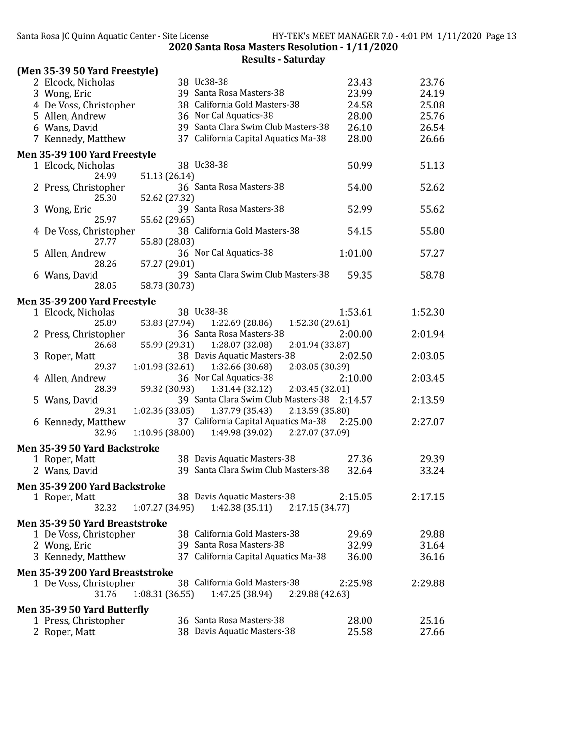| (Men 35-39 50 Yard Freestyle)   |                                                       |                    |
|---------------------------------|-------------------------------------------------------|--------------------|
| 2 Elcock, Nicholas              | 38 Uc38-38                                            | 23.76<br>23.43     |
| 3 Wong, Eric                    | 39 Santa Rosa Masters-38                              | 23.99<br>24.19     |
| 4 De Voss, Christopher          | 38 California Gold Masters-38                         | 24.58<br>25.08     |
| 5 Allen, Andrew                 | 36 Nor Cal Aquatics-38                                | 25.76<br>28.00     |
| 6 Wans, David                   | 39 Santa Clara Swim Club Masters-38                   | 26.54<br>26.10     |
| 7 Kennedy, Matthew              | 37 California Capital Aquatics Ma-38                  | 28.00<br>26.66     |
| Men 35-39 100 Yard Freestyle    |                                                       |                    |
| 1 Elcock, Nicholas              | 38 Uc38-38                                            | 51.13<br>50.99     |
| 24.99                           | 51.13 (26.14)                                         |                    |
| 2 Press, Christopher            | 36 Santa Rosa Masters-38                              | 54.00<br>52.62     |
| 25.30                           | 52.62 (27.32)                                         |                    |
| 3 Wong, Eric                    | 39 Santa Rosa Masters-38                              | 52.99<br>55.62     |
| 25.97                           | 55.62 (29.65)<br>38 California Gold Masters-38        | 55.80              |
| 4 De Voss, Christopher<br>27.77 | 55.80 (28.03)                                         | 54.15              |
| 5 Allen, Andrew                 | 36 Nor Cal Aquatics-38                                | 1:01.00<br>57.27   |
| 28.26                           | 57.27 (29.01)                                         |                    |
| 6 Wans, David                   | 39 Santa Clara Swim Club Masters-38                   | 59.35<br>58.78     |
| 28.05                           | 58.78 (30.73)                                         |                    |
| Men 35-39 200 Yard Freestyle    |                                                       |                    |
| 1 Elcock, Nicholas              | 38 Uc38-38                                            | 1:52.30<br>1:53.61 |
| 25.89                           | 53.83 (27.94)<br>1:22.69 (28.86)<br>1:52.30 (29.61)   |                    |
| 2 Press, Christopher            | 36 Santa Rosa Masters-38                              | 2:01.94<br>2:00.00 |
| 26.68                           | 55.99 (29.31)<br>1:28.07 (32.08)<br>2:01.94 (33.87)   |                    |
| 3 Roper, Matt                   | 38 Davis Aquatic Masters-38                           | 2:03.05<br>2:02.50 |
| 29.37                           | 1:01.98(32.61)<br>1:32.66 (30.68)<br>2:03.05 (30.39)  |                    |
| 4 Allen, Andrew                 | 36 Nor Cal Aquatics-38                                | 2:03.45<br>2:10.00 |
| 28.39                           | 1:31.44 (32.12)<br>59.32 (30.93)<br>2:03.45 (32.01)   |                    |
| 5 Wans, David                   | 39 Santa Clara Swim Club Masters-38 2:14.57           | 2:13.59            |
| 29.31                           | 1:02.36 (33.05)<br>1:37.79 (35.43)<br>2:13.59 (35.80) |                    |
| 6 Kennedy, Matthew              | 37 California Capital Aquatics Ma-38                  | 2:25.00<br>2:27.07 |
| 32.96                           | 1:49.98 (39.02)<br>1:10.96(38.00)<br>2:27.07 (37.09)  |                    |
| Men 35-39 50 Yard Backstroke    |                                                       |                    |
| 1 Roper, Matt                   | 38 Davis Aquatic Masters-38                           | 27.36<br>29.39     |
| 2 Wans, David                   | 39 Santa Clara Swim Club Masters-38                   | 32.64<br>33.24     |
| Men 35-39 200 Yard Backstroke   |                                                       |                    |
| 1 Roper, Matt                   | 38 Davis Aquatic Masters-38                           | 2:17.15<br>2:15.05 |
| 32.32                           | 1:42.38(35.11)<br>1:07.27(34.95)<br>2:17.15(34.77)    |                    |
| Men 35-39 50 Yard Breaststroke  |                                                       |                    |
| 1 De Voss, Christopher          | 38 California Gold Masters-38                         | 29.69<br>29.88     |
| 2 Wong, Eric                    | 39 Santa Rosa Masters-38                              | 32.99<br>31.64     |
| 3 Kennedy, Matthew              | 37 California Capital Aquatics Ma-38                  | 36.16<br>36.00     |
| Men 35-39 200 Yard Breaststroke |                                                       |                    |
| 1 De Voss, Christopher          | 38 California Gold Masters-38                         | 2:25.98<br>2:29.88 |
| 31.76                           | 1:47.25 (38.94)<br>1:08.31(36.55)<br>2:29.88 (42.63)  |                    |
| Men 35-39 50 Yard Butterfly     |                                                       |                    |
| 1 Press, Christopher            | 36 Santa Rosa Masters-38                              | 28.00<br>25.16     |
| 2 Roper, Matt                   | 38 Davis Aquatic Masters-38                           | 25.58<br>27.66     |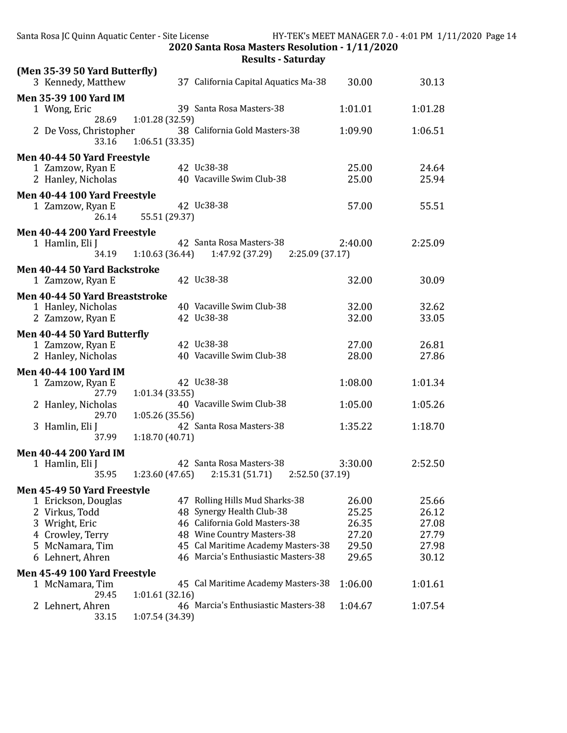| (Men 35-39 50 Yard Butterfly)<br>3 Kennedy, Matthew                                                                                               | 37 California Capital Aquatics Ma-38                                                                                                                                                                    | 30.00                                              | 30.13                                              |
|---------------------------------------------------------------------------------------------------------------------------------------------------|---------------------------------------------------------------------------------------------------------------------------------------------------------------------------------------------------------|----------------------------------------------------|----------------------------------------------------|
| <b>Men 35-39 100 Yard IM</b><br>1 Wong, Eric                                                                                                      | 39 Santa Rosa Masters-38                                                                                                                                                                                | 1:01.01                                            | 1:01.28                                            |
| 28.69<br>2 De Voss, Christopher<br>33.16                                                                                                          | 1:01.28 (32.59)<br>38 California Gold Masters-38<br>1:06.51 (33.35)                                                                                                                                     | 1:09.90                                            | 1:06.51                                            |
| Men 40-44 50 Yard Freestyle<br>1 Zamzow, Ryan E<br>2 Hanley, Nicholas                                                                             | 42 Uc38-38<br>40 Vacaville Swim Club-38                                                                                                                                                                 | 25.00<br>25.00                                     | 24.64<br>25.94                                     |
| Men 40-44 100 Yard Freestyle<br>1 Zamzow, Ryan E<br>26.14                                                                                         | 42 Uc38-38<br>55.51 (29.37)                                                                                                                                                                             | 57.00                                              | 55.51                                              |
| Men 40-44 200 Yard Freestyle<br>1 Hamlin, Eli J<br>34.19                                                                                          | 42 Santa Rosa Masters-38<br>1:10.63 (36.44)<br>1:47.92 (37.29)<br>2:25.09(37.17)                                                                                                                        | 2:40.00                                            | 2:25.09                                            |
| Men 40-44 50 Yard Backstroke<br>1 Zamzow, Ryan E                                                                                                  | 42 Uc38-38                                                                                                                                                                                              | 32.00                                              | 30.09                                              |
| Men 40-44 50 Yard Breaststroke<br>1 Hanley, Nicholas<br>2 Zamzow, Ryan E                                                                          | 40 Vacaville Swim Club-38<br>42 Uc38-38                                                                                                                                                                 | 32.00<br>32.00                                     | 32.62<br>33.05                                     |
| Men 40-44 50 Yard Butterfly<br>1 Zamzow, Ryan E<br>2 Hanley, Nicholas                                                                             | 42 Uc38-38<br>40 Vacaville Swim Club-38                                                                                                                                                                 | 27.00<br>28.00                                     | 26.81<br>27.86                                     |
| <b>Men 40-44 100 Yard IM</b><br>1 Zamzow, Ryan E<br>27.79                                                                                         | 42 Uc38-38<br>1:01.34(33.55)                                                                                                                                                                            | 1:08.00                                            | 1:01.34                                            |
| 2 Hanley, Nicholas<br>29.70                                                                                                                       | 40 Vacaville Swim Club-38<br>1:05.26 (35.56)                                                                                                                                                            | 1:05.00                                            | 1:05.26                                            |
| 3 Hamlin, Eli J<br>37.99                                                                                                                          | 42 Santa Rosa Masters-38<br>1:18.70 (40.71)                                                                                                                                                             | 1:35.22                                            | 1:18.70                                            |
| <b>Men 40-44 200 Yard IM</b><br>1 Hamlin, Eli J<br>35.95                                                                                          | 42 Santa Rosa Masters-38<br>1:23.60(47.65)<br>2:15.31(51.71)<br>2:52.50 (37.19)                                                                                                                         | 3:30.00                                            | 2:52.50                                            |
| Men 45-49 50 Yard Freestyle<br>1 Erickson, Douglas<br>2 Virkus, Todd<br>3 Wright, Eric<br>4 Crowley, Terry<br>5 McNamara, Tim<br>6 Lehnert, Ahren | 47 Rolling Hills Mud Sharks-38<br>48 Synergy Health Club-38<br>46 California Gold Masters-38<br>48 Wine Country Masters-38<br>45 Cal Maritime Academy Masters-38<br>46 Marcia's Enthusiastic Masters-38 | 26.00<br>25.25<br>26.35<br>27.20<br>29.50<br>29.65 | 25.66<br>26.12<br>27.08<br>27.79<br>27.98<br>30.12 |
| Men 45-49 100 Yard Freestyle<br>1 McNamara, Tim                                                                                                   | 45 Cal Maritime Academy Masters-38                                                                                                                                                                      | 1:06.00                                            | 1:01.61                                            |
| 29.45<br>2 Lehnert, Ahren<br>33.15                                                                                                                | 1:01.61(32.16)<br>46 Marcia's Enthusiastic Masters-38<br>1:07.54 (34.39)                                                                                                                                | 1:04.67                                            | 1:07.54                                            |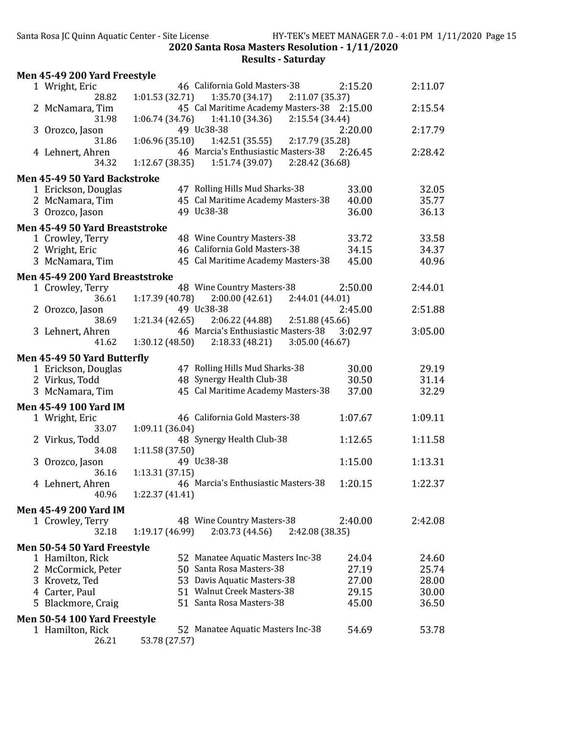| 46 California Gold Masters-38<br>2:15.20<br>2:11.07<br>1 Wright, Eric<br>28.82<br>1:01.53(32.71)<br>1:35.70(34.17)<br>2:11.07 (35.37)<br>45 Cal Maritime Academy Masters-38 2:15.00<br>2:15.54<br>2 McNamara, Tim<br>1:06.74 (34.76)<br>1:41.10 (34.36)<br>2:15.54(34.44)<br>31.98<br>49 Uc38-38<br>2:20.00<br>2:17.79<br>3 Orozco, Jason<br>1:42.51 (35.55)<br>2:17.79 (35.28)<br>31.86<br>1:06.96 (35.10)<br>46 Marcia's Enthusiastic Masters-38<br>2:28.42<br>2:26.45<br>4 Lehnert, Ahren<br>1:12.67 (38.35)<br>1:51.74 (39.07)<br>2:28.42 (36.68)<br>34.32<br>Men 45-49 50 Yard Backstroke<br>47 Rolling Hills Mud Sharks-38<br>32.05<br>1 Erickson, Douglas<br>33.00<br>45 Cal Maritime Academy Masters-38<br>35.77<br>2 McNamara, Tim<br>40.00<br>49 Uc38-38<br>36.00<br>36.13<br>3 Orozco, Jason<br>Men 45-49 50 Yard Breaststroke<br>48 Wine Country Masters-38<br>33.58<br>33.72<br>1 Crowley, Terry<br>46 California Gold Masters-38<br>2 Wright, Eric<br>34.15<br>34.37<br>45 Cal Maritime Academy Masters-38<br>3 McNamara, Tim<br>45.00<br>40.96<br>Men 45-49 200 Yard Breaststroke<br>48 Wine Country Masters-38<br>2:50.00<br>2:44.01<br>1 Crowley, Terry<br>2:00.00 (42.61)<br>36.61<br>1:17.39(40.78)<br>2:44.01 (44.01)<br>49 Uc38-38<br>2:45.00<br>2:51.88<br>2 Orozco, Jason<br>2:06.22 (44.88)<br>2:51.88(45.66)<br>38.69<br>1:21.34(42.65)<br>46 Marcia's Enthusiastic Masters-38<br>3:05.00<br>3:02.97<br>3 Lehnert, Ahren<br>1:30.12 (48.50)<br>2:18.33(48.21)<br>3:05.00(46.67)<br>41.62<br>Men 45-49 50 Yard Butterfly<br>47 Rolling Hills Mud Sharks-38<br>1 Erickson, Douglas<br>30.00<br>29.19<br>48 Synergy Health Club-38<br>30.50<br>2 Virkus, Todd<br>31.14<br>45 Cal Maritime Academy Masters-38<br>3 McNamara, Tim<br>32.29<br>37.00<br><b>Men 45-49 100 Yard IM</b><br>1:09.11<br>46 California Gold Masters-38<br>1:07.67<br>1 Wright, Eric<br>33.07<br>1:09.11 (36.04)<br>48 Synergy Health Club-38<br>2 Virkus, Todd<br>1:12.65<br>1:11.58<br>34.08<br>1:11.58(37.50)<br>49 Uc38-38<br>1:13.31<br>1:15.00<br>3 Orozco, Jason<br>36.16<br>1:13.31(37.15)<br>46 Marcia's Enthusiastic Masters-38<br>1:22.37<br>4 Lehnert, Ahren<br>1:20.15<br>40.96<br>1:22.37 (41.41)<br><b>Men 45-49 200 Yard IM</b><br>48 Wine Country Masters-38<br>2:42.08<br>1 Crowley, Terry<br>2:40.00<br>32.18<br>1:19.17(46.99)<br>2:03.73(44.56)<br>2:42.08 (38.35)<br>Men 50-54 50 Yard Freestyle<br>52 Manatee Aquatic Masters Inc-38<br>24.60<br>1 Hamilton, Rick<br>24.04<br>50 Santa Rosa Masters-38<br>27.19<br>25.74<br>2 McCormick, Peter<br>53 Davis Aquatic Masters-38<br>27.00<br>28.00<br>3 Krovetz, Ted | Men 45-49 200 Yard Freestyle |                                                    |       |  |
|--------------------------------------------------------------------------------------------------------------------------------------------------------------------------------------------------------------------------------------------------------------------------------------------------------------------------------------------------------------------------------------------------------------------------------------------------------------------------------------------------------------------------------------------------------------------------------------------------------------------------------------------------------------------------------------------------------------------------------------------------------------------------------------------------------------------------------------------------------------------------------------------------------------------------------------------------------------------------------------------------------------------------------------------------------------------------------------------------------------------------------------------------------------------------------------------------------------------------------------------------------------------------------------------------------------------------------------------------------------------------------------------------------------------------------------------------------------------------------------------------------------------------------------------------------------------------------------------------------------------------------------------------------------------------------------------------------------------------------------------------------------------------------------------------------------------------------------------------------------------------------------------------------------------------------------------------------------------------------------------------------------------------------------------------------------------------------------------------------------------------------------------------------------------------------------------------------------------------------------------------------------------------------------------------------------------------------------------------------------------------------------------------------------------------------------------------------------------------------------------------------------------------------------------------------------------------------------------------------------------------------------|------------------------------|----------------------------------------------------|-------|--|
|                                                                                                                                                                                                                                                                                                                                                                                                                                                                                                                                                                                                                                                                                                                                                                                                                                                                                                                                                                                                                                                                                                                                                                                                                                                                                                                                                                                                                                                                                                                                                                                                                                                                                                                                                                                                                                                                                                                                                                                                                                                                                                                                                                                                                                                                                                                                                                                                                                                                                                                                                                                                                                      |                              |                                                    |       |  |
|                                                                                                                                                                                                                                                                                                                                                                                                                                                                                                                                                                                                                                                                                                                                                                                                                                                                                                                                                                                                                                                                                                                                                                                                                                                                                                                                                                                                                                                                                                                                                                                                                                                                                                                                                                                                                                                                                                                                                                                                                                                                                                                                                                                                                                                                                                                                                                                                                                                                                                                                                                                                                                      |                              |                                                    |       |  |
|                                                                                                                                                                                                                                                                                                                                                                                                                                                                                                                                                                                                                                                                                                                                                                                                                                                                                                                                                                                                                                                                                                                                                                                                                                                                                                                                                                                                                                                                                                                                                                                                                                                                                                                                                                                                                                                                                                                                                                                                                                                                                                                                                                                                                                                                                                                                                                                                                                                                                                                                                                                                                                      |                              |                                                    |       |  |
|                                                                                                                                                                                                                                                                                                                                                                                                                                                                                                                                                                                                                                                                                                                                                                                                                                                                                                                                                                                                                                                                                                                                                                                                                                                                                                                                                                                                                                                                                                                                                                                                                                                                                                                                                                                                                                                                                                                                                                                                                                                                                                                                                                                                                                                                                                                                                                                                                                                                                                                                                                                                                                      |                              |                                                    |       |  |
|                                                                                                                                                                                                                                                                                                                                                                                                                                                                                                                                                                                                                                                                                                                                                                                                                                                                                                                                                                                                                                                                                                                                                                                                                                                                                                                                                                                                                                                                                                                                                                                                                                                                                                                                                                                                                                                                                                                                                                                                                                                                                                                                                                                                                                                                                                                                                                                                                                                                                                                                                                                                                                      |                              |                                                    |       |  |
|                                                                                                                                                                                                                                                                                                                                                                                                                                                                                                                                                                                                                                                                                                                                                                                                                                                                                                                                                                                                                                                                                                                                                                                                                                                                                                                                                                                                                                                                                                                                                                                                                                                                                                                                                                                                                                                                                                                                                                                                                                                                                                                                                                                                                                                                                                                                                                                                                                                                                                                                                                                                                                      |                              |                                                    |       |  |
|                                                                                                                                                                                                                                                                                                                                                                                                                                                                                                                                                                                                                                                                                                                                                                                                                                                                                                                                                                                                                                                                                                                                                                                                                                                                                                                                                                                                                                                                                                                                                                                                                                                                                                                                                                                                                                                                                                                                                                                                                                                                                                                                                                                                                                                                                                                                                                                                                                                                                                                                                                                                                                      |                              |                                                    |       |  |
|                                                                                                                                                                                                                                                                                                                                                                                                                                                                                                                                                                                                                                                                                                                                                                                                                                                                                                                                                                                                                                                                                                                                                                                                                                                                                                                                                                                                                                                                                                                                                                                                                                                                                                                                                                                                                                                                                                                                                                                                                                                                                                                                                                                                                                                                                                                                                                                                                                                                                                                                                                                                                                      |                              |                                                    |       |  |
|                                                                                                                                                                                                                                                                                                                                                                                                                                                                                                                                                                                                                                                                                                                                                                                                                                                                                                                                                                                                                                                                                                                                                                                                                                                                                                                                                                                                                                                                                                                                                                                                                                                                                                                                                                                                                                                                                                                                                                                                                                                                                                                                                                                                                                                                                                                                                                                                                                                                                                                                                                                                                                      |                              |                                                    |       |  |
|                                                                                                                                                                                                                                                                                                                                                                                                                                                                                                                                                                                                                                                                                                                                                                                                                                                                                                                                                                                                                                                                                                                                                                                                                                                                                                                                                                                                                                                                                                                                                                                                                                                                                                                                                                                                                                                                                                                                                                                                                                                                                                                                                                                                                                                                                                                                                                                                                                                                                                                                                                                                                                      |                              |                                                    |       |  |
|                                                                                                                                                                                                                                                                                                                                                                                                                                                                                                                                                                                                                                                                                                                                                                                                                                                                                                                                                                                                                                                                                                                                                                                                                                                                                                                                                                                                                                                                                                                                                                                                                                                                                                                                                                                                                                                                                                                                                                                                                                                                                                                                                                                                                                                                                                                                                                                                                                                                                                                                                                                                                                      |                              |                                                    |       |  |
|                                                                                                                                                                                                                                                                                                                                                                                                                                                                                                                                                                                                                                                                                                                                                                                                                                                                                                                                                                                                                                                                                                                                                                                                                                                                                                                                                                                                                                                                                                                                                                                                                                                                                                                                                                                                                                                                                                                                                                                                                                                                                                                                                                                                                                                                                                                                                                                                                                                                                                                                                                                                                                      |                              |                                                    |       |  |
|                                                                                                                                                                                                                                                                                                                                                                                                                                                                                                                                                                                                                                                                                                                                                                                                                                                                                                                                                                                                                                                                                                                                                                                                                                                                                                                                                                                                                                                                                                                                                                                                                                                                                                                                                                                                                                                                                                                                                                                                                                                                                                                                                                                                                                                                                                                                                                                                                                                                                                                                                                                                                                      |                              |                                                    |       |  |
|                                                                                                                                                                                                                                                                                                                                                                                                                                                                                                                                                                                                                                                                                                                                                                                                                                                                                                                                                                                                                                                                                                                                                                                                                                                                                                                                                                                                                                                                                                                                                                                                                                                                                                                                                                                                                                                                                                                                                                                                                                                                                                                                                                                                                                                                                                                                                                                                                                                                                                                                                                                                                                      |                              |                                                    |       |  |
|                                                                                                                                                                                                                                                                                                                                                                                                                                                                                                                                                                                                                                                                                                                                                                                                                                                                                                                                                                                                                                                                                                                                                                                                                                                                                                                                                                                                                                                                                                                                                                                                                                                                                                                                                                                                                                                                                                                                                                                                                                                                                                                                                                                                                                                                                                                                                                                                                                                                                                                                                                                                                                      |                              |                                                    |       |  |
|                                                                                                                                                                                                                                                                                                                                                                                                                                                                                                                                                                                                                                                                                                                                                                                                                                                                                                                                                                                                                                                                                                                                                                                                                                                                                                                                                                                                                                                                                                                                                                                                                                                                                                                                                                                                                                                                                                                                                                                                                                                                                                                                                                                                                                                                                                                                                                                                                                                                                                                                                                                                                                      |                              |                                                    |       |  |
|                                                                                                                                                                                                                                                                                                                                                                                                                                                                                                                                                                                                                                                                                                                                                                                                                                                                                                                                                                                                                                                                                                                                                                                                                                                                                                                                                                                                                                                                                                                                                                                                                                                                                                                                                                                                                                                                                                                                                                                                                                                                                                                                                                                                                                                                                                                                                                                                                                                                                                                                                                                                                                      |                              |                                                    |       |  |
|                                                                                                                                                                                                                                                                                                                                                                                                                                                                                                                                                                                                                                                                                                                                                                                                                                                                                                                                                                                                                                                                                                                                                                                                                                                                                                                                                                                                                                                                                                                                                                                                                                                                                                                                                                                                                                                                                                                                                                                                                                                                                                                                                                                                                                                                                                                                                                                                                                                                                                                                                                                                                                      |                              |                                                    |       |  |
|                                                                                                                                                                                                                                                                                                                                                                                                                                                                                                                                                                                                                                                                                                                                                                                                                                                                                                                                                                                                                                                                                                                                                                                                                                                                                                                                                                                                                                                                                                                                                                                                                                                                                                                                                                                                                                                                                                                                                                                                                                                                                                                                                                                                                                                                                                                                                                                                                                                                                                                                                                                                                                      |                              |                                                    |       |  |
|                                                                                                                                                                                                                                                                                                                                                                                                                                                                                                                                                                                                                                                                                                                                                                                                                                                                                                                                                                                                                                                                                                                                                                                                                                                                                                                                                                                                                                                                                                                                                                                                                                                                                                                                                                                                                                                                                                                                                                                                                                                                                                                                                                                                                                                                                                                                                                                                                                                                                                                                                                                                                                      |                              |                                                    |       |  |
|                                                                                                                                                                                                                                                                                                                                                                                                                                                                                                                                                                                                                                                                                                                                                                                                                                                                                                                                                                                                                                                                                                                                                                                                                                                                                                                                                                                                                                                                                                                                                                                                                                                                                                                                                                                                                                                                                                                                                                                                                                                                                                                                                                                                                                                                                                                                                                                                                                                                                                                                                                                                                                      |                              |                                                    |       |  |
|                                                                                                                                                                                                                                                                                                                                                                                                                                                                                                                                                                                                                                                                                                                                                                                                                                                                                                                                                                                                                                                                                                                                                                                                                                                                                                                                                                                                                                                                                                                                                                                                                                                                                                                                                                                                                                                                                                                                                                                                                                                                                                                                                                                                                                                                                                                                                                                                                                                                                                                                                                                                                                      |                              |                                                    |       |  |
|                                                                                                                                                                                                                                                                                                                                                                                                                                                                                                                                                                                                                                                                                                                                                                                                                                                                                                                                                                                                                                                                                                                                                                                                                                                                                                                                                                                                                                                                                                                                                                                                                                                                                                                                                                                                                                                                                                                                                                                                                                                                                                                                                                                                                                                                                                                                                                                                                                                                                                                                                                                                                                      |                              |                                                    |       |  |
|                                                                                                                                                                                                                                                                                                                                                                                                                                                                                                                                                                                                                                                                                                                                                                                                                                                                                                                                                                                                                                                                                                                                                                                                                                                                                                                                                                                                                                                                                                                                                                                                                                                                                                                                                                                                                                                                                                                                                                                                                                                                                                                                                                                                                                                                                                                                                                                                                                                                                                                                                                                                                                      |                              |                                                    |       |  |
|                                                                                                                                                                                                                                                                                                                                                                                                                                                                                                                                                                                                                                                                                                                                                                                                                                                                                                                                                                                                                                                                                                                                                                                                                                                                                                                                                                                                                                                                                                                                                                                                                                                                                                                                                                                                                                                                                                                                                                                                                                                                                                                                                                                                                                                                                                                                                                                                                                                                                                                                                                                                                                      |                              |                                                    |       |  |
|                                                                                                                                                                                                                                                                                                                                                                                                                                                                                                                                                                                                                                                                                                                                                                                                                                                                                                                                                                                                                                                                                                                                                                                                                                                                                                                                                                                                                                                                                                                                                                                                                                                                                                                                                                                                                                                                                                                                                                                                                                                                                                                                                                                                                                                                                                                                                                                                                                                                                                                                                                                                                                      |                              |                                                    |       |  |
|                                                                                                                                                                                                                                                                                                                                                                                                                                                                                                                                                                                                                                                                                                                                                                                                                                                                                                                                                                                                                                                                                                                                                                                                                                                                                                                                                                                                                                                                                                                                                                                                                                                                                                                                                                                                                                                                                                                                                                                                                                                                                                                                                                                                                                                                                                                                                                                                                                                                                                                                                                                                                                      |                              |                                                    |       |  |
|                                                                                                                                                                                                                                                                                                                                                                                                                                                                                                                                                                                                                                                                                                                                                                                                                                                                                                                                                                                                                                                                                                                                                                                                                                                                                                                                                                                                                                                                                                                                                                                                                                                                                                                                                                                                                                                                                                                                                                                                                                                                                                                                                                                                                                                                                                                                                                                                                                                                                                                                                                                                                                      |                              |                                                    |       |  |
|                                                                                                                                                                                                                                                                                                                                                                                                                                                                                                                                                                                                                                                                                                                                                                                                                                                                                                                                                                                                                                                                                                                                                                                                                                                                                                                                                                                                                                                                                                                                                                                                                                                                                                                                                                                                                                                                                                                                                                                                                                                                                                                                                                                                                                                                                                                                                                                                                                                                                                                                                                                                                                      |                              |                                                    |       |  |
|                                                                                                                                                                                                                                                                                                                                                                                                                                                                                                                                                                                                                                                                                                                                                                                                                                                                                                                                                                                                                                                                                                                                                                                                                                                                                                                                                                                                                                                                                                                                                                                                                                                                                                                                                                                                                                                                                                                                                                                                                                                                                                                                                                                                                                                                                                                                                                                                                                                                                                                                                                                                                                      |                              |                                                    |       |  |
|                                                                                                                                                                                                                                                                                                                                                                                                                                                                                                                                                                                                                                                                                                                                                                                                                                                                                                                                                                                                                                                                                                                                                                                                                                                                                                                                                                                                                                                                                                                                                                                                                                                                                                                                                                                                                                                                                                                                                                                                                                                                                                                                                                                                                                                                                                                                                                                                                                                                                                                                                                                                                                      |                              |                                                    |       |  |
|                                                                                                                                                                                                                                                                                                                                                                                                                                                                                                                                                                                                                                                                                                                                                                                                                                                                                                                                                                                                                                                                                                                                                                                                                                                                                                                                                                                                                                                                                                                                                                                                                                                                                                                                                                                                                                                                                                                                                                                                                                                                                                                                                                                                                                                                                                                                                                                                                                                                                                                                                                                                                                      |                              |                                                    |       |  |
|                                                                                                                                                                                                                                                                                                                                                                                                                                                                                                                                                                                                                                                                                                                                                                                                                                                                                                                                                                                                                                                                                                                                                                                                                                                                                                                                                                                                                                                                                                                                                                                                                                                                                                                                                                                                                                                                                                                                                                                                                                                                                                                                                                                                                                                                                                                                                                                                                                                                                                                                                                                                                                      |                              |                                                    |       |  |
|                                                                                                                                                                                                                                                                                                                                                                                                                                                                                                                                                                                                                                                                                                                                                                                                                                                                                                                                                                                                                                                                                                                                                                                                                                                                                                                                                                                                                                                                                                                                                                                                                                                                                                                                                                                                                                                                                                                                                                                                                                                                                                                                                                                                                                                                                                                                                                                                                                                                                                                                                                                                                                      |                              |                                                    |       |  |
|                                                                                                                                                                                                                                                                                                                                                                                                                                                                                                                                                                                                                                                                                                                                                                                                                                                                                                                                                                                                                                                                                                                                                                                                                                                                                                                                                                                                                                                                                                                                                                                                                                                                                                                                                                                                                                                                                                                                                                                                                                                                                                                                                                                                                                                                                                                                                                                                                                                                                                                                                                                                                                      |                              |                                                    |       |  |
|                                                                                                                                                                                                                                                                                                                                                                                                                                                                                                                                                                                                                                                                                                                                                                                                                                                                                                                                                                                                                                                                                                                                                                                                                                                                                                                                                                                                                                                                                                                                                                                                                                                                                                                                                                                                                                                                                                                                                                                                                                                                                                                                                                                                                                                                                                                                                                                                                                                                                                                                                                                                                                      |                              |                                                    |       |  |
|                                                                                                                                                                                                                                                                                                                                                                                                                                                                                                                                                                                                                                                                                                                                                                                                                                                                                                                                                                                                                                                                                                                                                                                                                                                                                                                                                                                                                                                                                                                                                                                                                                                                                                                                                                                                                                                                                                                                                                                                                                                                                                                                                                                                                                                                                                                                                                                                                                                                                                                                                                                                                                      |                              |                                                    |       |  |
|                                                                                                                                                                                                                                                                                                                                                                                                                                                                                                                                                                                                                                                                                                                                                                                                                                                                                                                                                                                                                                                                                                                                                                                                                                                                                                                                                                                                                                                                                                                                                                                                                                                                                                                                                                                                                                                                                                                                                                                                                                                                                                                                                                                                                                                                                                                                                                                                                                                                                                                                                                                                                                      |                              |                                                    |       |  |
|                                                                                                                                                                                                                                                                                                                                                                                                                                                                                                                                                                                                                                                                                                                                                                                                                                                                                                                                                                                                                                                                                                                                                                                                                                                                                                                                                                                                                                                                                                                                                                                                                                                                                                                                                                                                                                                                                                                                                                                                                                                                                                                                                                                                                                                                                                                                                                                                                                                                                                                                                                                                                                      |                              |                                                    |       |  |
|                                                                                                                                                                                                                                                                                                                                                                                                                                                                                                                                                                                                                                                                                                                                                                                                                                                                                                                                                                                                                                                                                                                                                                                                                                                                                                                                                                                                                                                                                                                                                                                                                                                                                                                                                                                                                                                                                                                                                                                                                                                                                                                                                                                                                                                                                                                                                                                                                                                                                                                                                                                                                                      |                              |                                                    |       |  |
|                                                                                                                                                                                                                                                                                                                                                                                                                                                                                                                                                                                                                                                                                                                                                                                                                                                                                                                                                                                                                                                                                                                                                                                                                                                                                                                                                                                                                                                                                                                                                                                                                                                                                                                                                                                                                                                                                                                                                                                                                                                                                                                                                                                                                                                                                                                                                                                                                                                                                                                                                                                                                                      |                              |                                                    |       |  |
| 51 Walnut Creek Masters-38<br>4 Carter, Paul<br>29.15<br>30.00                                                                                                                                                                                                                                                                                                                                                                                                                                                                                                                                                                                                                                                                                                                                                                                                                                                                                                                                                                                                                                                                                                                                                                                                                                                                                                                                                                                                                                                                                                                                                                                                                                                                                                                                                                                                                                                                                                                                                                                                                                                                                                                                                                                                                                                                                                                                                                                                                                                                                                                                                                       |                              |                                                    |       |  |
| 51 Santa Rosa Masters-38<br>5 Blackmore, Craig<br>36.50<br>45.00                                                                                                                                                                                                                                                                                                                                                                                                                                                                                                                                                                                                                                                                                                                                                                                                                                                                                                                                                                                                                                                                                                                                                                                                                                                                                                                                                                                                                                                                                                                                                                                                                                                                                                                                                                                                                                                                                                                                                                                                                                                                                                                                                                                                                                                                                                                                                                                                                                                                                                                                                                     |                              |                                                    |       |  |
|                                                                                                                                                                                                                                                                                                                                                                                                                                                                                                                                                                                                                                                                                                                                                                                                                                                                                                                                                                                                                                                                                                                                                                                                                                                                                                                                                                                                                                                                                                                                                                                                                                                                                                                                                                                                                                                                                                                                                                                                                                                                                                                                                                                                                                                                                                                                                                                                                                                                                                                                                                                                                                      |                              |                                                    |       |  |
| Men 50-54 100 Yard Freestyle                                                                                                                                                                                                                                                                                                                                                                                                                                                                                                                                                                                                                                                                                                                                                                                                                                                                                                                                                                                                                                                                                                                                                                                                                                                                                                                                                                                                                                                                                                                                                                                                                                                                                                                                                                                                                                                                                                                                                                                                                                                                                                                                                                                                                                                                                                                                                                                                                                                                                                                                                                                                         |                              |                                                    |       |  |
| 53.78                                                                                                                                                                                                                                                                                                                                                                                                                                                                                                                                                                                                                                                                                                                                                                                                                                                                                                                                                                                                                                                                                                                                                                                                                                                                                                                                                                                                                                                                                                                                                                                                                                                                                                                                                                                                                                                                                                                                                                                                                                                                                                                                                                                                                                                                                                                                                                                                                                                                                                                                                                                                                                |                              |                                                    |       |  |
|                                                                                                                                                                                                                                                                                                                                                                                                                                                                                                                                                                                                                                                                                                                                                                                                                                                                                                                                                                                                                                                                                                                                                                                                                                                                                                                                                                                                                                                                                                                                                                                                                                                                                                                                                                                                                                                                                                                                                                                                                                                                                                                                                                                                                                                                                                                                                                                                                                                                                                                                                                                                                                      | 1 Hamilton, Rick<br>26.21    | 52 Manatee Aquatic Masters Inc-38<br>53.78 (27.57) | 54.69 |  |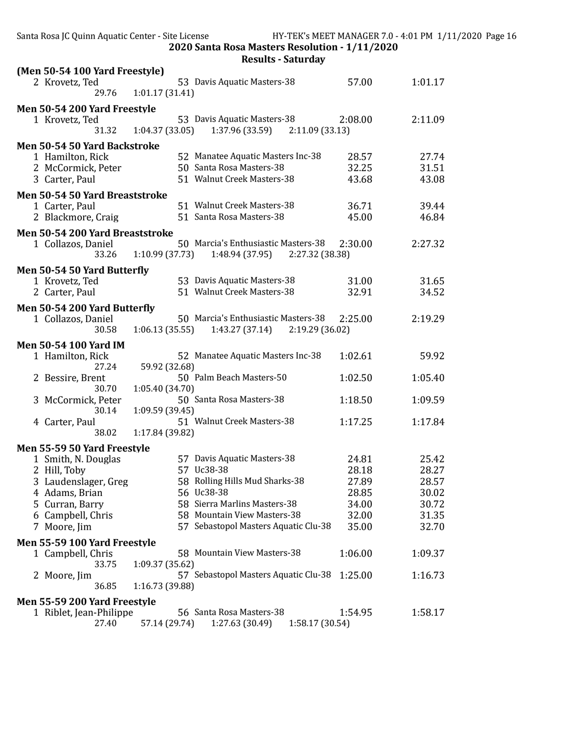| Santa Rosa JC Quinn Aquatic Center - Site License                                                                     |                 | 2020 Santa Rosa Masters Resolution - 1/11/2020                                                                                                        |                                                    | HY-TEK's MEET MANAGER 7.0 - 4:01 PM 1/11/2020 Page 16 |  |
|-----------------------------------------------------------------------------------------------------------------------|-----------------|-------------------------------------------------------------------------------------------------------------------------------------------------------|----------------------------------------------------|-------------------------------------------------------|--|
|                                                                                                                       |                 | <b>Results - Saturday</b>                                                                                                                             |                                                    |                                                       |  |
| (Men 50-54 100 Yard Freestyle)<br>2 Krovetz, Ted<br>29.76                                                             | 1:01.17(31.41)  | 53 Davis Aquatic Masters-38                                                                                                                           | 57.00                                              | 1:01.17                                               |  |
| Men 50-54 200 Yard Freestyle<br>1 Krovetz, Ted<br>31.32                                                               | 1:04.37(33.05)  | 53 Davis Aquatic Masters-38<br>1:37.96 (33.59)                                                                                                        | 2:08.00<br>2:11.09(33.13)                          | 2:11.09                                               |  |
| Men 50-54 50 Yard Backstroke<br>1 Hamilton, Rick<br>2 McCormick, Peter<br>3 Carter, Paul                              |                 | 52 Manatee Aquatic Masters Inc-38<br>50 Santa Rosa Masters-38<br>51 Walnut Creek Masters-38                                                           | 28.57<br>32.25<br>43.68                            | 27.74<br>31.51<br>43.08                               |  |
| Men 50-54 50 Yard Breaststroke<br>1 Carter, Paul<br>2 Blackmore, Craig                                                |                 | 51 Walnut Creek Masters-38<br>51 Santa Rosa Masters-38                                                                                                | 36.71<br>45.00                                     | 39.44<br>46.84                                        |  |
| Men 50-54 200 Yard Breaststroke<br>1 Collazos, Daniel<br>33.26                                                        | 1:10.99 (37.73) | 50 Marcia's Enthusiastic Masters-38<br>1:48.94 (37.95)                                                                                                | 2:30.00<br>2:27.32 (38.38)                         | 2:27.32                                               |  |
| Men 50-54 50 Yard Butterfly<br>1 Krovetz, Ted<br>2 Carter, Paul                                                       |                 | 53 Davis Aquatic Masters-38<br>51 Walnut Creek Masters-38                                                                                             | 31.00<br>32.91                                     | 31.65<br>34.52                                        |  |
| Men 50-54 200 Yard Butterfly<br>1 Collazos, Daniel<br>30.58                                                           | 1:06.13(35.55)  | 50 Marcia's Enthusiastic Masters-38<br>1:43.27 (37.14)                                                                                                | 2:25.00<br>2:19.29(36.02)                          | 2:19.29                                               |  |
| <b>Men 50-54 100 Yard IM</b><br>1 Hamilton, Rick<br>27.24                                                             | 59.92 (32.68)   | 52 Manatee Aquatic Masters Inc-38                                                                                                                     | 1:02.61                                            | 59.92                                                 |  |
| 2 Bessire, Brent<br>30.70                                                                                             | 1:05.40 (34.70) | 50 Palm Beach Masters-50                                                                                                                              | 1:02.50                                            | 1:05.40                                               |  |
| 3 McCormick, Peter<br>30.14                                                                                           | 1:09.59 (39.45) | 50 Santa Rosa Masters-38                                                                                                                              | 1:18.50                                            | 1:09.59                                               |  |
| 4 Carter, Paul<br>38.02                                                                                               | 1:17.84 (39.82) | 51 Walnut Creek Masters-38                                                                                                                            | 1:17.25                                            | 1:17.84                                               |  |
| Men 55-59 50 Yard Freestyle                                                                                           |                 |                                                                                                                                                       |                                                    |                                                       |  |
| 1 Smith, N. Douglas<br>2 Hill, Toby<br>3 Laudenslager, Greg<br>4 Adams, Brian<br>5 Curran, Barry<br>6 Campbell, Chris | 58              | 57 Davis Aquatic Masters-38<br>57 Uc38-38<br>Rolling Hills Mud Sharks-38<br>56 Uc38-38<br>58 Sierra Marlins Masters-38<br>58 Mountain View Masters-38 | 24.81<br>28.18<br>27.89<br>28.85<br>34.00<br>32.00 | 25.42<br>28.27<br>28.57<br>30.02<br>30.72<br>31.35    |  |
| 7 Moore, Jim<br>Men 55-59 100 Yard Freestyle                                                                          |                 | 57 Sebastopol Masters Aquatic Clu-38                                                                                                                  | 35.00                                              | 32.70                                                 |  |
| 1 Campbell, Chris<br>33.75                                                                                            | 1:09.37 (35.62) | 58 Mountain View Masters-38                                                                                                                           | 1:06.00                                            | 1:09.37                                               |  |
| 2 Moore, Jim<br>36.85                                                                                                 | 1:16.73 (39.88) | 57 Sebastopol Masters Aquatic Clu-38                                                                                                                  | 1:25.00                                            | 1:16.73                                               |  |
| Men 55-59 200 Yard Freestyle<br>1 Riblet, Jean-Philippe<br>27.40                                                      | 57.14 (29.74)   | 56 Santa Rosa Masters-38<br>1:27.63 (30.49)                                                                                                           | 1:54.95<br>1:58.17 (30.54)                         | 1:58.17                                               |  |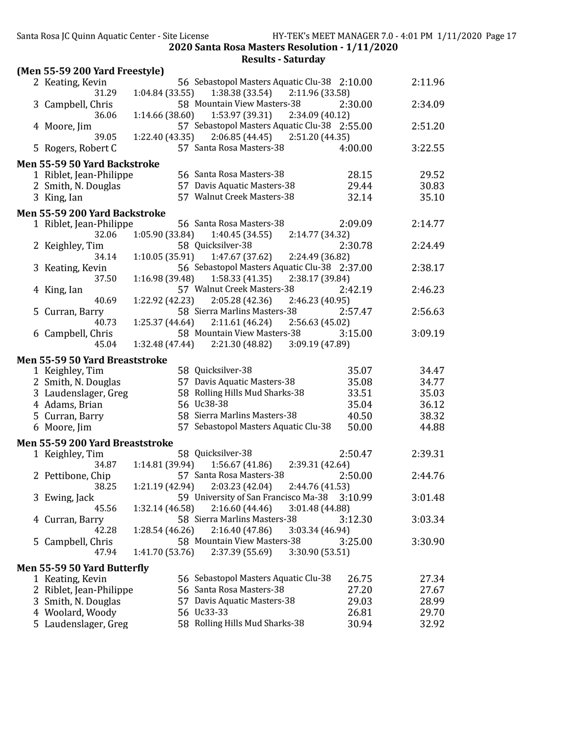| (Men 55-59 200 Yard Freestyle)                          |                                                                                                       |         |         |
|---------------------------------------------------------|-------------------------------------------------------------------------------------------------------|---------|---------|
| 2 Keating, Kevin                                        | 56 Sebastopol Masters Aquatic Clu-38 2:10.00                                                          |         | 2:11.96 |
| 31.29                                                   | 1:04.84 (33.55)<br>1:38.38 (33.54) 2:11.96 (33.58)                                                    |         |         |
| 3 Campbell, Chris<br>36.06                              | 58 Mountain View Masters-38<br>1:14.66 (38.60)<br>1:53.97 (39.31)<br>2:34.09 (40.12)                  | 2:30.00 | 2:34.09 |
| 4 Moore, Jim                                            | 57 Sebastopol Masters Aquatic Clu-38 2:55.00                                                          |         | 2:51.20 |
| 39.05<br>5 Rogers, Robert C                             | $2:06.85(44.45)$ $2:51.20(44.35)$<br>1:22.40 (43.35)<br>57 Santa Rosa Masters-38                      | 4:00.00 | 3:22.55 |
|                                                         |                                                                                                       |         |         |
| Men 55-59 50 Yard Backstroke<br>1 Riblet, Jean-Philippe | 56 Santa Rosa Masters-38                                                                              | 28.15   | 29.52   |
| 2 Smith, N. Douglas                                     | 57 Davis Aquatic Masters-38                                                                           | 29.44   | 30.83   |
| 3 King, Ian                                             | 57 Walnut Creek Masters-38                                                                            | 32.14   | 35.10   |
|                                                         |                                                                                                       |         |         |
| Men 55-59 200 Yard Backstroke                           |                                                                                                       |         |         |
| 1 Riblet, Jean-Philippe                                 | 56 Santa Rosa Masters-38                                                                              | 2:09.09 | 2:14.77 |
| 32.06                                                   | 1:05.90 (33.84)<br>2:14.77 (34.32)<br>1:40.45(34.55)                                                  |         |         |
| 2 Keighley, Tim                                         | 58 Quicksilver-38                                                                                     | 2:30.78 | 2:24.49 |
| 34.14                                                   | 2:24.49 (36.82)<br>1:10.05 (35.91)<br>1:47.67 (37.62)<br>56 Sebastopol Masters Aquatic Clu-38 2:37.00 |         |         |
| 3 Keating, Kevin                                        | 1:16.98 (39.48)<br>1:58.33(41.35)                                                                     |         | 2:38.17 |
| 37.50                                                   | 2:38.17 (39.84)<br>57 Walnut Creek Masters-38                                                         | 2:42.19 |         |
| 4 King, Ian<br>40.69                                    | $1:22.92$ (42.23) $2:05.28$ (42.36)                                                                   |         | 2:46.23 |
| 5 Curran, Barry                                         | 2:46.23 (40.95)<br>58 Sierra Marlins Masters-38                                                       | 2:57.47 | 2:56.63 |
| 40.73                                                   | $1:25.37(44.64)$ $2:11.61(46.24)$<br>2:56.63 (45.02)                                                  |         |         |
| 6 Campbell, Chris                                       | 58 Mountain View Masters-38                                                                           | 3:15.00 | 3:09.19 |
| 45.04                                                   | $1:32.48(47.44)$ $2:21.30(48.82)$<br>3:09.19 (47.89)                                                  |         |         |
| Men 55-59 50 Yard Breaststroke                          |                                                                                                       |         |         |
| 1 Keighley, Tim                                         | 58 Quicksilver-38                                                                                     | 35.07   | 34.47   |
| 2 Smith, N. Douglas                                     | 57 Davis Aquatic Masters-38                                                                           | 35.08   | 34.77   |
| 3 Laudenslager, Greg                                    | 58 Rolling Hills Mud Sharks-38                                                                        | 33.51   | 35.03   |
| 4 Adams, Brian                                          | 56 Uc38-38                                                                                            | 35.04   | 36.12   |
| 5 Curran, Barry                                         | 58 Sierra Marlins Masters-38                                                                          | 40.50   | 38.32   |
| 6 Moore, Jim                                            | 57 Sebastopol Masters Aquatic Clu-38                                                                  | 50.00   | 44.88   |
|                                                         |                                                                                                       |         |         |
| Men 55-59 200 Yard Breaststroke                         |                                                                                                       |         |         |
| 1 Keighley, Tim                                         | 58 Quicksilver-38                                                                                     | 2:50.47 | 2:39.31 |
| 34.87                                                   | $1:14.81(39.94)$ $1:56.67(41.86)$<br>2:39.31 (42.64)                                                  |         |         |
| 2 Pettibone, Chip                                       | 57 Santa Rosa Masters-38                                                                              | 2:50.00 | 2:44.76 |
| 38.25                                                   | 1:21.19 (42.94) 2:03.23 (42.04)<br>2:44.76 (41.53)                                                    |         |         |
| 3 Ewing, Jack                                           | 59 University of San Francisco Ma-38                                                                  | 3:10.99 | 3:01.48 |
| 45.56                                                   | 2:16.60(44.46)<br>1:32.14 (46.58)<br>3:01.48 (44.88)<br>58 Sierra Marlins Masters-38                  |         |         |
| 4 Curran, Barry                                         |                                                                                                       | 3:12.30 | 3:03.34 |
| 42.28                                                   | 2:16.40(47.86)<br>3:03.34 (46.94)<br>1:28.54 (46.26)                                                  |         |         |
| 5 Campbell, Chris<br>47.94                              | 58 Mountain View Masters-38<br>1:41.70 (53.76)<br>2:37.39 (55.69)<br>3:30.90 (53.51)                  | 3:25.00 | 3:30.90 |
|                                                         |                                                                                                       |         |         |
| Men 55-59 50 Yard Butterfly                             | 56 Sebastopol Masters Aquatic Clu-38                                                                  |         |         |
| 1 Keating, Kevin                                        | 56 Santa Rosa Masters-38                                                                              | 26.75   | 27.34   |
| 2 Riblet, Jean-Philippe                                 |                                                                                                       | 27.20   | 27.67   |
| 3 Smith, N. Douglas                                     | 57 Davis Aquatic Masters-38<br>56 Uc33-33                                                             | 29.03   | 28.99   |
| 4 Woolard, Woody                                        | 58 Rolling Hills Mud Sharks-38                                                                        | 26.81   | 29.70   |
| 5 Laudenslager, Greg                                    |                                                                                                       | 30.94   | 32.92   |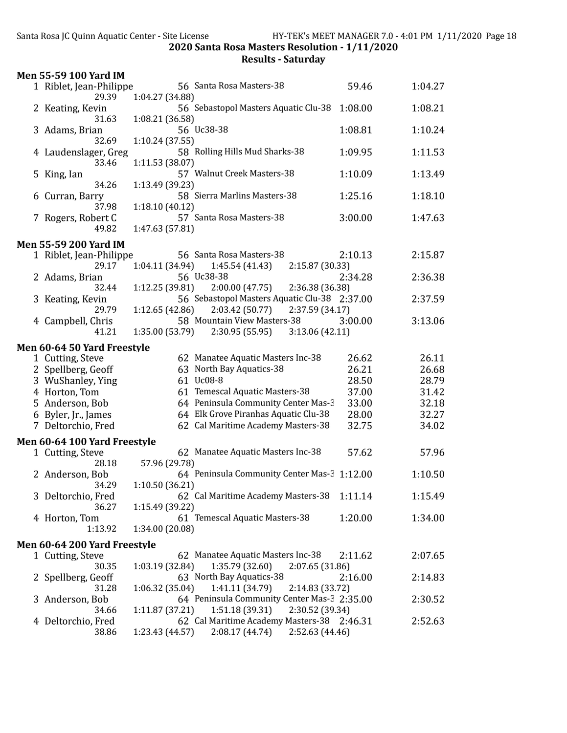|    | <b>Men 55-59 100 Yard IM</b>                    |                 |                                                                                   |         |         |
|----|-------------------------------------------------|-----------------|-----------------------------------------------------------------------------------|---------|---------|
|    | 1 Riblet, Jean-Philippe                         |                 | 56 Santa Rosa Masters-38                                                          | 59.46   | 1:04.27 |
|    | 29.39                                           | 1:04.27 (34.88) |                                                                                   |         |         |
|    | 2 Keating, Kevin                                |                 | 56 Sebastopol Masters Aquatic Clu-38                                              | 1:08.00 | 1:08.21 |
|    | 31.63<br>3 Adams, Brian                         | 1:08.21 (36.58) | 56 Uc38-38                                                                        | 1:08.81 | 1:10.24 |
|    | 32.69                                           | 1:10.24(37.55)  |                                                                                   |         |         |
|    | 4 Laudenslager, Greg                            |                 | 58 Rolling Hills Mud Sharks-38                                                    | 1:09.95 | 1:11.53 |
|    | 33.46                                           | 1:11.53 (38.07) |                                                                                   |         |         |
| 5. | King, Ian                                       |                 | 57 Walnut Creek Masters-38                                                        | 1:10.09 | 1:13.49 |
|    | 34.26                                           | 1:13.49 (39.23) |                                                                                   |         |         |
| 6  | Curran, Barry<br>37.98                          | 1:18.10(40.12)  | 58 Sierra Marlins Masters-38                                                      | 1:25.16 | 1:18.10 |
|    | 7 Rogers, Robert C                              |                 | 57 Santa Rosa Masters-38                                                          | 3:00.00 | 1:47.63 |
|    | 49.82                                           | 1:47.63 (57.81) |                                                                                   |         |         |
|    | <b>Men 55-59 200 Yard IM</b>                    |                 |                                                                                   |         |         |
|    | 1 Riblet, Jean-Philippe                         |                 | 56 Santa Rosa Masters-38                                                          | 2:10.13 | 2:15.87 |
|    | 29.17                                           | 1:04.11(34.94)  | 1:45.54 (41.43)<br>2:15.87 (30.33)                                                |         |         |
|    | 2 Adams, Brian                                  |                 | 56 Uc38-38                                                                        | 2:34.28 | 2:36.38 |
|    | 32.44                                           | 1:12.25(39.81)  | 2:00.00(47.75)<br>2:36.38 (36.38)                                                 |         |         |
|    | 3 Keating, Kevin                                |                 | 56 Sebastopol Masters Aquatic Clu-38 2:37.00                                      |         | 2:37.59 |
|    | 29.79                                           | 1:12.65(42.86)  | 2:03.42(50.77)<br>2:37.59 (34.17)<br>58 Mountain View Masters-38                  | 3:00.00 | 3:13.06 |
|    | 4 Campbell, Chris<br>41.21                      | 1:35.00 (53.79) | 2:30.95 (55.95)<br>3:13.06(42.11)                                                 |         |         |
|    |                                                 |                 |                                                                                   |         |         |
|    | Men 60-64 50 Yard Freestyle<br>1 Cutting, Steve |                 | 62 Manatee Aquatic Masters Inc-38                                                 | 26.62   | 26.11   |
|    | 2 Spellberg, Geoff                              |                 | 63 North Bay Aquatics-38                                                          | 26.21   | 26.68   |
|    | 3 WuShanley, Ying                               |                 | 61 Uc08-8                                                                         | 28.50   | 28.79   |
|    | 4 Horton, Tom                                   |                 | 61 Temescal Aquatic Masters-38                                                    | 37.00   | 31.42   |
|    | 5 Anderson, Bob                                 |                 | 64 Peninsula Community Center Mas-3                                               | 33.00   | 32.18   |
|    | 6 Byler, Jr., James                             |                 | 64 Elk Grove Piranhas Aquatic Clu-38                                              | 28.00   | 32.27   |
|    | 7 Deltorchio, Fred                              |                 | 62 Cal Maritime Academy Masters-38                                                | 32.75   | 34.02   |
|    | Men 60-64 100 Yard Freestyle                    |                 |                                                                                   |         |         |
|    | 1 Cutting, Steve                                |                 | 62 Manatee Aquatic Masters Inc-38                                                 | 57.62   | 57.96   |
|    | 28.18                                           | 57.96 (29.78)   |                                                                                   |         |         |
|    | 2 Anderson, Bob<br>34.29                        | 1:10.50(36.21)  | 64 Peninsula Community Center Mas-3 1:12.00                                       |         | 1:10.50 |
|    | 3 Deltorchio, Fred                              |                 | 62 Cal Maritime Academy Masters-38                                                | 1:11.14 | 1:15.49 |
|    | 36.27                                           | 1:15.49 (39.22) |                                                                                   |         |         |
|    | 4 Horton, Tom                                   |                 | 61 Temescal Aquatic Masters-38                                                    | 1:20.00 | 1:34.00 |
|    | 1:13.92                                         | 1:34.00 (20.08) |                                                                                   |         |         |
|    | Men 60-64 200 Yard Freestyle                    |                 |                                                                                   |         |         |
|    | 1 Cutting, Steve                                |                 | 62 Manatee Aquatic Masters Inc-38                                                 | 2:11.62 | 2:07.65 |
|    | 30.35                                           | 1:03.19(32.84)  | 1:35.79 (32.60)<br>2:07.65 (31.86)                                                |         |         |
|    | 2 Spellberg, Geoff                              |                 | 63 North Bay Aquatics-38                                                          | 2:16.00 | 2:14.83 |
| 3  | 31.28<br>Anderson, Bob                          | 1:06.32(35.04)  | 1:41.11 (34.79)<br>2:14.83 (33.72)<br>64 Peninsula Community Center Mas-3 2:35.00 |         | 2:30.52 |
|    | 34.66                                           | 1:11.87(37.21)  | 1:51.18 (39.31)<br>2:30.52 (39.34)                                                |         |         |
| 4  | Deltorchio, Fred                                |                 | 62 Cal Maritime Academy Masters-38 2:46.31                                        |         | 2:52.63 |
|    | 38.86                                           | 1:23.43 (44.57) | 2:08.17 (44.74)<br>2:52.63 (44.46)                                                |         |         |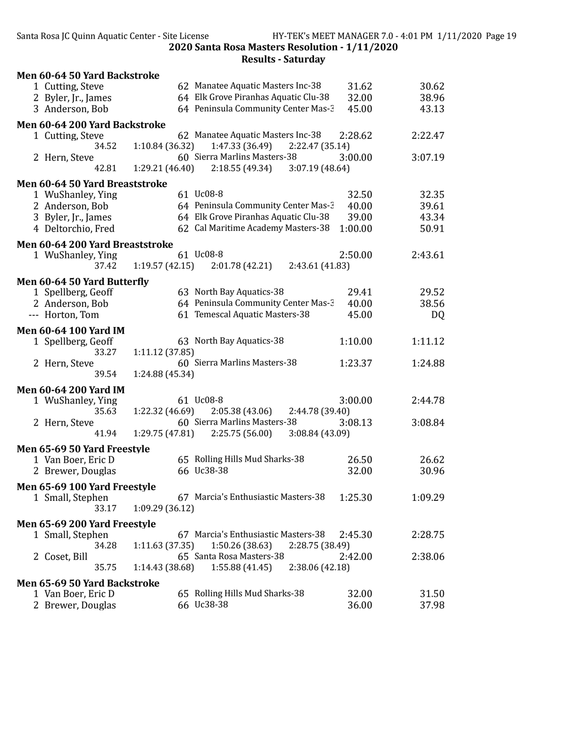| 62 Manatee Aquatic Masters Inc-38<br>31.62<br>30.62<br>1 Cutting, Steve<br>64 Elk Grove Piranhas Aquatic Clu-38<br>32.00<br>38.96<br>2 Byler, Jr., James<br>64 Peninsula Community Center Mas-3<br>45.00<br>43.13<br>3 Anderson, Bob<br>Men 60-64 200 Yard Backstroke<br>62 Manatee Aquatic Masters Inc-38<br>2:28.62<br>2:22.47<br>1 Cutting, Steve<br>1:10.84 (36.32)<br>1:47.33 (36.49)<br>34.52<br>2:22.47 (35.14)<br>60 Sierra Marlins Masters-38<br>3:00.00<br>3:07.19<br>2 Hern, Steve<br>2:18.55 (49.34)<br>3:07.19(48.64)<br>42.81<br>1:29.21(46.40)<br>Men 60-64 50 Yard Breaststroke<br>61 Uc08-8<br>32.50<br>32.35<br>1 WuShanley, Ying<br>64 Peninsula Community Center Mas-3<br>39.61<br>2 Anderson, Bob<br>40.00<br>64 Elk Grove Piranhas Aquatic Clu-38<br>39.00<br>43.34<br>3 Byler, Jr., James<br>62 Cal Maritime Academy Masters-38<br>4 Deltorchio, Fred<br>1:00.00<br>50.91<br>Men 60-64 200 Yard Breaststroke<br>61 Uc08-8<br>2:50.00<br>2:43.61<br>1 WuShanley, Ying<br>1:19.57(42.15)<br>2:01.78 (42.21)<br>2:43.61 (41.83)<br>37.42<br>Men 60-64 50 Yard Butterfly<br>63 North Bay Aquatics-38<br>29.52<br>29.41<br>1 Spellberg, Geoff<br>64 Peninsula Community Center Mas-3<br>38.56<br>2 Anderson, Bob<br>40.00<br>61 Temescal Aquatic Masters-38<br>45.00<br>--- Horton, Tom<br>DQ<br><b>Men 60-64 100 Yard IM</b><br>63 North Bay Aquatics-38<br>1:10.00<br>1:11.12<br>1 Spellberg, Geoff<br>33.27<br>1:11.12(37.85)<br>60 Sierra Marlins Masters-38<br>1:23.37<br>1:24.88<br>2 Hern, Steve<br>1:24.88 (45.34)<br>39.54<br><b>Men 60-64 200 Yard IM</b><br>61 Uc08-8<br>3:00.00<br>2:44.78<br>1 WuShanley, Ying<br>2:05.38(43.06)<br>2:44.78 (39.40)<br>35.63<br>1:22.32 (46.69)<br>60 Sierra Marlins Masters-38<br>2 Hern, Steve<br>3:08.13<br>3:08.84<br>41.94<br>1:29.75 (47.81)<br>2:25.75 (56.00)<br>3:08.84 (43.09)<br>Men 65-69 50 Yard Freestyle<br>65 Rolling Hills Mud Sharks-38<br>26.50<br>26.62<br>1 Van Boer, Eric D<br>66 Uc38-38<br>2 Brewer, Douglas<br>32.00<br>30.96<br>Men 65-69 100 Yard Freestyle<br>67 Marcia's Enthusiastic Masters-38<br>1 Small, Stephen<br>1:25.30<br>1:09.29<br>33.17<br>1:09.29 (36.12) |
|--------------------------------------------------------------------------------------------------------------------------------------------------------------------------------------------------------------------------------------------------------------------------------------------------------------------------------------------------------------------------------------------------------------------------------------------------------------------------------------------------------------------------------------------------------------------------------------------------------------------------------------------------------------------------------------------------------------------------------------------------------------------------------------------------------------------------------------------------------------------------------------------------------------------------------------------------------------------------------------------------------------------------------------------------------------------------------------------------------------------------------------------------------------------------------------------------------------------------------------------------------------------------------------------------------------------------------------------------------------------------------------------------------------------------------------------------------------------------------------------------------------------------------------------------------------------------------------------------------------------------------------------------------------------------------------------------------------------------------------------------------------------------------------------------------------------------------------------------------------------------------------------------------------------------------------------------------------------------------------------------------------------------------------------------------------------------------------------------------------------------------------------------------------------|
|                                                                                                                                                                                                                                                                                                                                                                                                                                                                                                                                                                                                                                                                                                                                                                                                                                                                                                                                                                                                                                                                                                                                                                                                                                                                                                                                                                                                                                                                                                                                                                                                                                                                                                                                                                                                                                                                                                                                                                                                                                                                                                                                                                    |
|                                                                                                                                                                                                                                                                                                                                                                                                                                                                                                                                                                                                                                                                                                                                                                                                                                                                                                                                                                                                                                                                                                                                                                                                                                                                                                                                                                                                                                                                                                                                                                                                                                                                                                                                                                                                                                                                                                                                                                                                                                                                                                                                                                    |
|                                                                                                                                                                                                                                                                                                                                                                                                                                                                                                                                                                                                                                                                                                                                                                                                                                                                                                                                                                                                                                                                                                                                                                                                                                                                                                                                                                                                                                                                                                                                                                                                                                                                                                                                                                                                                                                                                                                                                                                                                                                                                                                                                                    |
|                                                                                                                                                                                                                                                                                                                                                                                                                                                                                                                                                                                                                                                                                                                                                                                                                                                                                                                                                                                                                                                                                                                                                                                                                                                                                                                                                                                                                                                                                                                                                                                                                                                                                                                                                                                                                                                                                                                                                                                                                                                                                                                                                                    |
|                                                                                                                                                                                                                                                                                                                                                                                                                                                                                                                                                                                                                                                                                                                                                                                                                                                                                                                                                                                                                                                                                                                                                                                                                                                                                                                                                                                                                                                                                                                                                                                                                                                                                                                                                                                                                                                                                                                                                                                                                                                                                                                                                                    |
|                                                                                                                                                                                                                                                                                                                                                                                                                                                                                                                                                                                                                                                                                                                                                                                                                                                                                                                                                                                                                                                                                                                                                                                                                                                                                                                                                                                                                                                                                                                                                                                                                                                                                                                                                                                                                                                                                                                                                                                                                                                                                                                                                                    |
|                                                                                                                                                                                                                                                                                                                                                                                                                                                                                                                                                                                                                                                                                                                                                                                                                                                                                                                                                                                                                                                                                                                                                                                                                                                                                                                                                                                                                                                                                                                                                                                                                                                                                                                                                                                                                                                                                                                                                                                                                                                                                                                                                                    |
|                                                                                                                                                                                                                                                                                                                                                                                                                                                                                                                                                                                                                                                                                                                                                                                                                                                                                                                                                                                                                                                                                                                                                                                                                                                                                                                                                                                                                                                                                                                                                                                                                                                                                                                                                                                                                                                                                                                                                                                                                                                                                                                                                                    |
|                                                                                                                                                                                                                                                                                                                                                                                                                                                                                                                                                                                                                                                                                                                                                                                                                                                                                                                                                                                                                                                                                                                                                                                                                                                                                                                                                                                                                                                                                                                                                                                                                                                                                                                                                                                                                                                                                                                                                                                                                                                                                                                                                                    |
|                                                                                                                                                                                                                                                                                                                                                                                                                                                                                                                                                                                                                                                                                                                                                                                                                                                                                                                                                                                                                                                                                                                                                                                                                                                                                                                                                                                                                                                                                                                                                                                                                                                                                                                                                                                                                                                                                                                                                                                                                                                                                                                                                                    |
|                                                                                                                                                                                                                                                                                                                                                                                                                                                                                                                                                                                                                                                                                                                                                                                                                                                                                                                                                                                                                                                                                                                                                                                                                                                                                                                                                                                                                                                                                                                                                                                                                                                                                                                                                                                                                                                                                                                                                                                                                                                                                                                                                                    |
|                                                                                                                                                                                                                                                                                                                                                                                                                                                                                                                                                                                                                                                                                                                                                                                                                                                                                                                                                                                                                                                                                                                                                                                                                                                                                                                                                                                                                                                                                                                                                                                                                                                                                                                                                                                                                                                                                                                                                                                                                                                                                                                                                                    |
|                                                                                                                                                                                                                                                                                                                                                                                                                                                                                                                                                                                                                                                                                                                                                                                                                                                                                                                                                                                                                                                                                                                                                                                                                                                                                                                                                                                                                                                                                                                                                                                                                                                                                                                                                                                                                                                                                                                                                                                                                                                                                                                                                                    |
|                                                                                                                                                                                                                                                                                                                                                                                                                                                                                                                                                                                                                                                                                                                                                                                                                                                                                                                                                                                                                                                                                                                                                                                                                                                                                                                                                                                                                                                                                                                                                                                                                                                                                                                                                                                                                                                                                                                                                                                                                                                                                                                                                                    |
|                                                                                                                                                                                                                                                                                                                                                                                                                                                                                                                                                                                                                                                                                                                                                                                                                                                                                                                                                                                                                                                                                                                                                                                                                                                                                                                                                                                                                                                                                                                                                                                                                                                                                                                                                                                                                                                                                                                                                                                                                                                                                                                                                                    |
|                                                                                                                                                                                                                                                                                                                                                                                                                                                                                                                                                                                                                                                                                                                                                                                                                                                                                                                                                                                                                                                                                                                                                                                                                                                                                                                                                                                                                                                                                                                                                                                                                                                                                                                                                                                                                                                                                                                                                                                                                                                                                                                                                                    |
|                                                                                                                                                                                                                                                                                                                                                                                                                                                                                                                                                                                                                                                                                                                                                                                                                                                                                                                                                                                                                                                                                                                                                                                                                                                                                                                                                                                                                                                                                                                                                                                                                                                                                                                                                                                                                                                                                                                                                                                                                                                                                                                                                                    |
|                                                                                                                                                                                                                                                                                                                                                                                                                                                                                                                                                                                                                                                                                                                                                                                                                                                                                                                                                                                                                                                                                                                                                                                                                                                                                                                                                                                                                                                                                                                                                                                                                                                                                                                                                                                                                                                                                                                                                                                                                                                                                                                                                                    |
|                                                                                                                                                                                                                                                                                                                                                                                                                                                                                                                                                                                                                                                                                                                                                                                                                                                                                                                                                                                                                                                                                                                                                                                                                                                                                                                                                                                                                                                                                                                                                                                                                                                                                                                                                                                                                                                                                                                                                                                                                                                                                                                                                                    |
|                                                                                                                                                                                                                                                                                                                                                                                                                                                                                                                                                                                                                                                                                                                                                                                                                                                                                                                                                                                                                                                                                                                                                                                                                                                                                                                                                                                                                                                                                                                                                                                                                                                                                                                                                                                                                                                                                                                                                                                                                                                                                                                                                                    |
|                                                                                                                                                                                                                                                                                                                                                                                                                                                                                                                                                                                                                                                                                                                                                                                                                                                                                                                                                                                                                                                                                                                                                                                                                                                                                                                                                                                                                                                                                                                                                                                                                                                                                                                                                                                                                                                                                                                                                                                                                                                                                                                                                                    |
|                                                                                                                                                                                                                                                                                                                                                                                                                                                                                                                                                                                                                                                                                                                                                                                                                                                                                                                                                                                                                                                                                                                                                                                                                                                                                                                                                                                                                                                                                                                                                                                                                                                                                                                                                                                                                                                                                                                                                                                                                                                                                                                                                                    |
|                                                                                                                                                                                                                                                                                                                                                                                                                                                                                                                                                                                                                                                                                                                                                                                                                                                                                                                                                                                                                                                                                                                                                                                                                                                                                                                                                                                                                                                                                                                                                                                                                                                                                                                                                                                                                                                                                                                                                                                                                                                                                                                                                                    |
|                                                                                                                                                                                                                                                                                                                                                                                                                                                                                                                                                                                                                                                                                                                                                                                                                                                                                                                                                                                                                                                                                                                                                                                                                                                                                                                                                                                                                                                                                                                                                                                                                                                                                                                                                                                                                                                                                                                                                                                                                                                                                                                                                                    |
|                                                                                                                                                                                                                                                                                                                                                                                                                                                                                                                                                                                                                                                                                                                                                                                                                                                                                                                                                                                                                                                                                                                                                                                                                                                                                                                                                                                                                                                                                                                                                                                                                                                                                                                                                                                                                                                                                                                                                                                                                                                                                                                                                                    |
|                                                                                                                                                                                                                                                                                                                                                                                                                                                                                                                                                                                                                                                                                                                                                                                                                                                                                                                                                                                                                                                                                                                                                                                                                                                                                                                                                                                                                                                                                                                                                                                                                                                                                                                                                                                                                                                                                                                                                                                                                                                                                                                                                                    |
|                                                                                                                                                                                                                                                                                                                                                                                                                                                                                                                                                                                                                                                                                                                                                                                                                                                                                                                                                                                                                                                                                                                                                                                                                                                                                                                                                                                                                                                                                                                                                                                                                                                                                                                                                                                                                                                                                                                                                                                                                                                                                                                                                                    |
|                                                                                                                                                                                                                                                                                                                                                                                                                                                                                                                                                                                                                                                                                                                                                                                                                                                                                                                                                                                                                                                                                                                                                                                                                                                                                                                                                                                                                                                                                                                                                                                                                                                                                                                                                                                                                                                                                                                                                                                                                                                                                                                                                                    |
|                                                                                                                                                                                                                                                                                                                                                                                                                                                                                                                                                                                                                                                                                                                                                                                                                                                                                                                                                                                                                                                                                                                                                                                                                                                                                                                                                                                                                                                                                                                                                                                                                                                                                                                                                                                                                                                                                                                                                                                                                                                                                                                                                                    |
|                                                                                                                                                                                                                                                                                                                                                                                                                                                                                                                                                                                                                                                                                                                                                                                                                                                                                                                                                                                                                                                                                                                                                                                                                                                                                                                                                                                                                                                                                                                                                                                                                                                                                                                                                                                                                                                                                                                                                                                                                                                                                                                                                                    |
|                                                                                                                                                                                                                                                                                                                                                                                                                                                                                                                                                                                                                                                                                                                                                                                                                                                                                                                                                                                                                                                                                                                                                                                                                                                                                                                                                                                                                                                                                                                                                                                                                                                                                                                                                                                                                                                                                                                                                                                                                                                                                                                                                                    |
|                                                                                                                                                                                                                                                                                                                                                                                                                                                                                                                                                                                                                                                                                                                                                                                                                                                                                                                                                                                                                                                                                                                                                                                                                                                                                                                                                                                                                                                                                                                                                                                                                                                                                                                                                                                                                                                                                                                                                                                                                                                                                                                                                                    |
|                                                                                                                                                                                                                                                                                                                                                                                                                                                                                                                                                                                                                                                                                                                                                                                                                                                                                                                                                                                                                                                                                                                                                                                                                                                                                                                                                                                                                                                                                                                                                                                                                                                                                                                                                                                                                                                                                                                                                                                                                                                                                                                                                                    |
|                                                                                                                                                                                                                                                                                                                                                                                                                                                                                                                                                                                                                                                                                                                                                                                                                                                                                                                                                                                                                                                                                                                                                                                                                                                                                                                                                                                                                                                                                                                                                                                                                                                                                                                                                                                                                                                                                                                                                                                                                                                                                                                                                                    |
|                                                                                                                                                                                                                                                                                                                                                                                                                                                                                                                                                                                                                                                                                                                                                                                                                                                                                                                                                                                                                                                                                                                                                                                                                                                                                                                                                                                                                                                                                                                                                                                                                                                                                                                                                                                                                                                                                                                                                                                                                                                                                                                                                                    |
|                                                                                                                                                                                                                                                                                                                                                                                                                                                                                                                                                                                                                                                                                                                                                                                                                                                                                                                                                                                                                                                                                                                                                                                                                                                                                                                                                                                                                                                                                                                                                                                                                                                                                                                                                                                                                                                                                                                                                                                                                                                                                                                                                                    |
|                                                                                                                                                                                                                                                                                                                                                                                                                                                                                                                                                                                                                                                                                                                                                                                                                                                                                                                                                                                                                                                                                                                                                                                                                                                                                                                                                                                                                                                                                                                                                                                                                                                                                                                                                                                                                                                                                                                                                                                                                                                                                                                                                                    |
|                                                                                                                                                                                                                                                                                                                                                                                                                                                                                                                                                                                                                                                                                                                                                                                                                                                                                                                                                                                                                                                                                                                                                                                                                                                                                                                                                                                                                                                                                                                                                                                                                                                                                                                                                                                                                                                                                                                                                                                                                                                                                                                                                                    |
| Men 65-69 200 Yard Freestyle                                                                                                                                                                                                                                                                                                                                                                                                                                                                                                                                                                                                                                                                                                                                                                                                                                                                                                                                                                                                                                                                                                                                                                                                                                                                                                                                                                                                                                                                                                                                                                                                                                                                                                                                                                                                                                                                                                                                                                                                                                                                                                                                       |
| 1 Small, Stephen<br>67 Marcia's Enthusiastic Masters-38<br>2:45.30<br>2:28.75                                                                                                                                                                                                                                                                                                                                                                                                                                                                                                                                                                                                                                                                                                                                                                                                                                                                                                                                                                                                                                                                                                                                                                                                                                                                                                                                                                                                                                                                                                                                                                                                                                                                                                                                                                                                                                                                                                                                                                                                                                                                                      |
| 34.28<br>1:11.63(37.35)<br>1:50.26 (38.63)<br>2:28.75 (38.49)                                                                                                                                                                                                                                                                                                                                                                                                                                                                                                                                                                                                                                                                                                                                                                                                                                                                                                                                                                                                                                                                                                                                                                                                                                                                                                                                                                                                                                                                                                                                                                                                                                                                                                                                                                                                                                                                                                                                                                                                                                                                                                      |
| 2 Coset, Bill<br>65 Santa Rosa Masters-38<br>2:38.06<br>2:42.00                                                                                                                                                                                                                                                                                                                                                                                                                                                                                                                                                                                                                                                                                                                                                                                                                                                                                                                                                                                                                                                                                                                                                                                                                                                                                                                                                                                                                                                                                                                                                                                                                                                                                                                                                                                                                                                                                                                                                                                                                                                                                                    |
|                                                                                                                                                                                                                                                                                                                                                                                                                                                                                                                                                                                                                                                                                                                                                                                                                                                                                                                                                                                                                                                                                                                                                                                                                                                                                                                                                                                                                                                                                                                                                                                                                                                                                                                                                                                                                                                                                                                                                                                                                                                                                                                                                                    |
| 2:38.06 (42.18)<br>35.75<br>1:14.43(38.68)<br>1:55.88(41.45)                                                                                                                                                                                                                                                                                                                                                                                                                                                                                                                                                                                                                                                                                                                                                                                                                                                                                                                                                                                                                                                                                                                                                                                                                                                                                                                                                                                                                                                                                                                                                                                                                                                                                                                                                                                                                                                                                                                                                                                                                                                                                                       |
|                                                                                                                                                                                                                                                                                                                                                                                                                                                                                                                                                                                                                                                                                                                                                                                                                                                                                                                                                                                                                                                                                                                                                                                                                                                                                                                                                                                                                                                                                                                                                                                                                                                                                                                                                                                                                                                                                                                                                                                                                                                                                                                                                                    |
| Men 65-69 50 Yard Backstroke<br>65 Rolling Hills Mud Sharks-38<br>1 Van Boer, Eric D<br>32.00<br>31.50                                                                                                                                                                                                                                                                                                                                                                                                                                                                                                                                                                                                                                                                                                                                                                                                                                                                                                                                                                                                                                                                                                                                                                                                                                                                                                                                                                                                                                                                                                                                                                                                                                                                                                                                                                                                                                                                                                                                                                                                                                                             |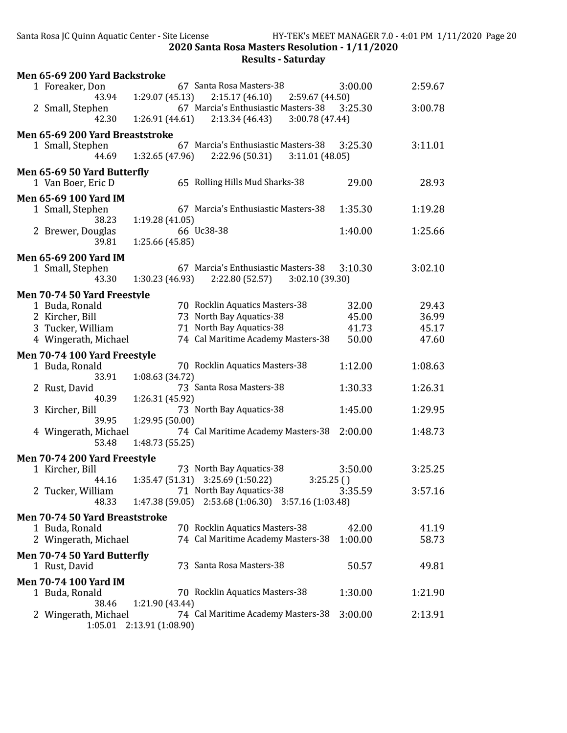| Men 65-69 200 Yard Backstroke                   |                                                         |         |         |
|-------------------------------------------------|---------------------------------------------------------|---------|---------|
| 1 Foreaker, Don                                 | 67 Santa Rosa Masters-38                                | 3:00.00 | 2:59.67 |
| 43.94                                           | 1:29.07(45.13)<br>2:15.17(46.10)<br>2:59.67 (44.50)     |         |         |
| 2 Small, Stephen                                | 67 Marcia's Enthusiastic Masters-38                     | 3:25.30 | 3:00.78 |
| 42.30                                           | 1:26.91 (44.61)<br>2:13.34 (46.43)<br>3:00.78 (47.44)   |         |         |
| Men 65-69 200 Yard Breaststroke                 |                                                         |         |         |
| 1 Small, Stephen                                | 67 Marcia's Enthusiastic Masters-38                     | 3:25.30 | 3:11.01 |
| 44.69                                           | 1:32.65 (47.96)<br>2:22.96 (50.31)<br>3:11.01(48.05)    |         |         |
| Men 65-69 50 Yard Butterfly                     |                                                         |         |         |
| 1 Van Boer, Eric D                              | 65 Rolling Hills Mud Sharks-38                          | 29.00   | 28.93   |
| <b>Men 65-69 100 Yard IM</b>                    |                                                         |         |         |
| 1 Small, Stephen                                | 67 Marcia's Enthusiastic Masters-38                     | 1:35.30 | 1:19.28 |
| 38.23                                           | 1:19.28(41.05)                                          |         |         |
| 2 Brewer, Douglas                               | 66 Uc38-38                                              | 1:40.00 | 1:25.66 |
| 39.81                                           | 1:25.66 (45.85)                                         |         |         |
| Men 65-69 200 Yard IM                           |                                                         |         |         |
| 1 Small, Stephen                                | 67 Marcia's Enthusiastic Masters-38                     | 3:10.30 | 3:02.10 |
| 43.30                                           | 1:30.23 (46.93)<br>2:22.80 (52.57)<br>3:02.10 (39.30)   |         |         |
| Men 70-74 50 Yard Freestyle                     |                                                         |         |         |
| 1 Buda, Ronald                                  | 70 Rocklin Aquatics Masters-38                          | 32.00   | 29.43   |
| 2 Kircher, Bill                                 | 73 North Bay Aquatics-38                                | 45.00   | 36.99   |
| 3 Tucker, William                               | 71 North Bay Aquatics-38                                | 41.73   | 45.17   |
| 4 Wingerath, Michael                            | 74 Cal Maritime Academy Masters-38                      | 50.00   | 47.60   |
| Men 70-74 100 Yard Freestyle                    |                                                         |         |         |
| 1 Buda, Ronald                                  | 70 Rocklin Aquatics Masters-38                          | 1:12.00 | 1:08.63 |
| 33.91                                           | 1:08.63 (34.72)                                         |         |         |
| 2 Rust, David                                   | 73 Santa Rosa Masters-38                                | 1:30.33 | 1:26.31 |
| 40.39                                           | 1:26.31 (45.92)                                         |         |         |
| 3 Kircher, Bill<br>39.95                        | 73 North Bay Aquatics-38<br>1:29.95 (50.00)             | 1:45.00 | 1:29.95 |
| 4 Wingerath, Michael                            | 74 Cal Maritime Academy Masters-38                      | 2:00.00 | 1:48.73 |
| 53.48                                           | 1:48.73 (55.25)                                         |         |         |
|                                                 |                                                         |         |         |
| Men 70-74 200 Yard Freestyle<br>1 Kircher, Bill | 73 North Bay Aquatics-38                                | 3:50.00 | 3:25.25 |
|                                                 | 44.16   1:35.47 (51.31)  3:25.69 (1:50.22)<br>3:25.25() |         |         |
| 2 Tucker, William                               | 71 North Bay Aquatics-38                                | 3:35.59 | 3:57.16 |
| 48.33                                           | $1:47.38(59.05)$ $2:53.68(1:06.30)$ $3:57.16(1:03.48)$  |         |         |
| Men 70-74 50 Yard Breaststroke                  |                                                         |         |         |
| 1 Buda, Ronald                                  | 70 Rocklin Aquatics Masters-38                          | 42.00   | 41.19   |
| 2 Wingerath, Michael                            | 74 Cal Maritime Academy Masters-38                      | 1:00.00 | 58.73   |
|                                                 |                                                         |         |         |
| Men 70-74 50 Yard Butterfly<br>1 Rust, David    | 73 Santa Rosa Masters-38                                | 50.57   | 49.81   |
|                                                 |                                                         |         |         |
| <b>Men 70-74 100 Yard IM</b>                    |                                                         |         |         |
| 1 Buda, Ronald<br>38.46                         | 70 Rocklin Aquatics Masters-38<br>1:21.90 (43.44)       | 1:30.00 | 1:21.90 |
| 2 Wingerath, Michael                            | 74 Cal Maritime Academy Masters-38                      | 3:00.00 | 2:13.91 |
| 1:05.01                                         | 2:13.91 (1:08.90)                                       |         |         |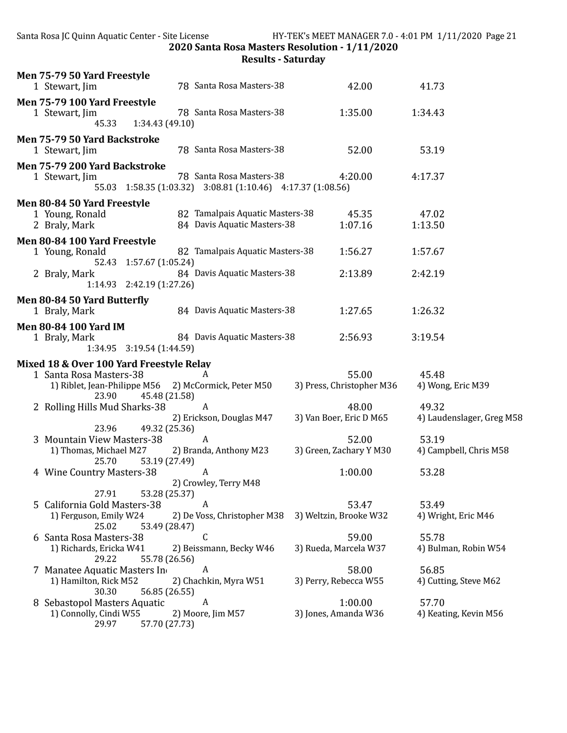Santa Rosa JC Quinn Aquatic Center - Site License HY-TEK's MEET MANAGER 7.0 - 4:01 PM 1/11/2020 Page 21 2020 Santa Rosa Masters Resolution - 1/11/2020

| Men 75-79 50 Yard Freestyle<br>1 Stewart, Jim                                                                                                         | 78 Santa Rosa Masters-38                                                                | 42.00                              | 41.73                              |
|-------------------------------------------------------------------------------------------------------------------------------------------------------|-----------------------------------------------------------------------------------------|------------------------------------|------------------------------------|
| Men 75-79 100 Yard Freestyle<br>1 Stewart, Jim<br>45.33<br>1:34.43(49.10)                                                                             | 78 Santa Rosa Masters-38                                                                | 1:35.00                            | 1:34.43                            |
| Men 75-79 50 Yard Backstroke<br>1 Stewart, Jim                                                                                                        | 78 Santa Rosa Masters-38                                                                | 52.00                              | 53.19                              |
| Men 75-79 200 Yard Backstroke<br>1 Stewart, Jim                                                                                                       | 78 Santa Rosa Masters-38<br>55.03 1:58.35 (1:03.32) 3:08.81 (1:10.46) 4:17.37 (1:08.56) | 4:20.00                            | 4:17.37                            |
| Men 80-84 50 Yard Freestyle                                                                                                                           |                                                                                         |                                    |                                    |
| 1 Young, Ronald<br>2 Braly, Mark                                                                                                                      | 82 Tamalpais Aquatic Masters-38<br>84 Davis Aquatic Masters-38                          | 45.35<br>1:07.16                   | 47.02<br>1:13.50                   |
| Men 80-84 100 Yard Freestyle<br>1 Young, Ronald<br>52.43 1:57.67 (1:05.24)                                                                            | 82 Tamalpais Aquatic Masters-38                                                         | 1:56.27                            | 1:57.67                            |
| 2 Braly, Mark<br>1:14.93 2:42.19 (1:27.26)                                                                                                            | 84 Davis Aquatic Masters-38                                                             | 2:13.89                            | 2:42.19                            |
| Men 80-84 50 Yard Butterfly<br>1 Braly, Mark                                                                                                          | 84 Davis Aquatic Masters-38                                                             | 1:27.65                            | 1:26.32                            |
| <b>Men 80-84 100 Yard IM</b><br>1 Braly, Mark                                                                                                         | 84 Davis Aquatic Masters-38                                                             | 2:56.93                            | 3:19.54                            |
| Mixed 18 & Over 100 Yard Freestyle Relay<br>1 Santa Rosa Masters-38<br>1) Riblet, Jean-Philippe M56 2) McCormick, Peter M50<br>23.90<br>45.48 (21.58) | A                                                                                       | 55.00<br>3) Press, Christopher M36 | 45.48<br>4) Wong, Eric M39         |
| 2 Rolling Hills Mud Sharks-38                                                                                                                         | A<br>2) Erickson, Douglas M47                                                           | 48.00<br>3) Van Boer, Eric D M65   | 49.32<br>4) Laudenslager, Greg M58 |
| 23.96<br>49.32 (25.36)<br>3 Mountain View Masters-38<br>1) Thomas, Michael M27<br>25.70<br>53.19 (27.49)                                              | A<br>2) Branda, Anthony M23                                                             | 52.00<br>3) Green, Zachary Y M30   | 53.19<br>4) Campbell, Chris M58    |
| 4 Wine Country Masters-38<br>53.28 (25.37)<br>27.91                                                                                                   | A<br>2) Crowley, Terry M48                                                              | 1:00.00                            | 53.28                              |
| 5 California Gold Masters-38<br>1) Ferguson, Emily W24<br>25.02<br>53.49 (28.47)                                                                      | A<br>2) De Voss, Christopher M38                                                        | 53.47<br>3) Weltzin, Brooke W32    | 53.49<br>4) Wright, Eric M46       |
| 6 Santa Rosa Masters-38<br>1) Richards, Ericka W41<br>29.22<br>55.78 (26.56)                                                                          | C<br>2) Beissmann, Becky W46                                                            | 59.00<br>3) Rueda, Marcela W37     | 55.78<br>4) Bulman, Robin W54      |
| 7 Manatee Aquatic Masters In<br>1) Hamilton, Rick M52<br>30.30<br>56.85 (26.55)                                                                       | A<br>2) Chachkin, Myra W51                                                              | 58.00<br>3) Perry, Rebecca W55     | 56.85<br>4) Cutting, Steve M62     |
| 8 Sebastopol Masters Aquatic<br>1) Connolly, Cindi W55<br>29.97<br>57.70 (27.73)                                                                      | A<br>2) Moore, Jim M57                                                                  | 1:00.00<br>3) Jones, Amanda W36    | 57.70<br>4) Keating, Kevin M56     |